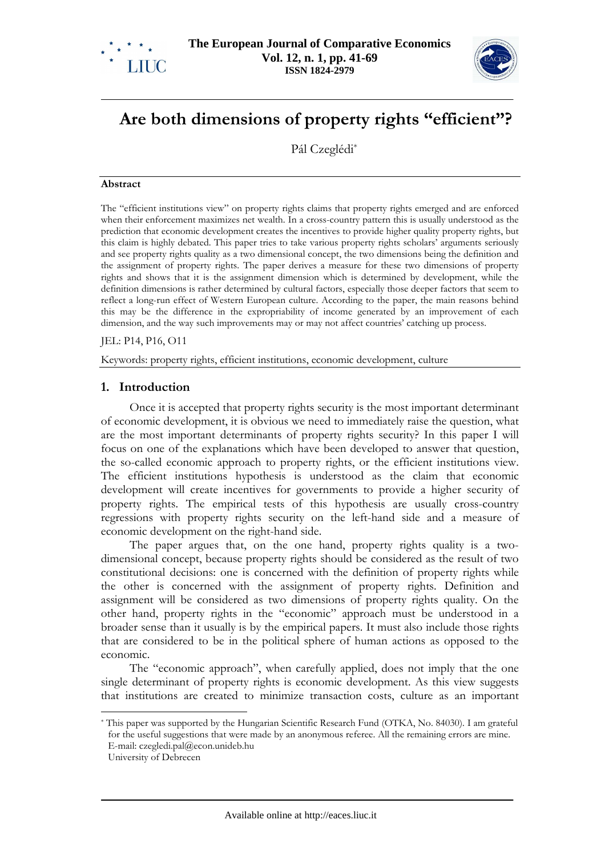



# **Are both dimensions of property rights "efficient"?**

Pál Czeglédi\*

#### **Abstract**

The "efficient institutions view" on property rights claims that property rights emerged and are enforced when their enforcement maximizes net wealth. In a cross-country pattern this is usually understood as the prediction that economic development creates the incentives to provide higher quality property rights, but this claim is highly debated. This paper tries to take various property rights scholars' arguments seriously and see property rights quality as a two dimensional concept, the two dimensions being the definition and the assignment of property rights. The paper derives a measure for these two dimensions of property rights and shows that it is the assignment dimension which is determined by development, while the definition dimensions is rather determined by cultural factors, especially those deeper factors that seem to reflect a long-run effect of Western European culture. According to the paper, the main reasons behind this may be the difference in the expropriability of income generated by an improvement of each dimension, and the way such improvements may or may not affect countries' catching up process.

#### JEL: P14, P16, O11

Keywords: property rights, efficient institutions, economic development, culture

# **1. Introduction**

Once it is accepted that property rights security is the most important determinant of economic development, it is obvious we need to immediately raise the question, what are the most important determinants of property rights security? In this paper I will focus on one of the explanations which have been developed to answer that question, the so-called economic approach to property rights, or the efficient institutions view. The efficient institutions hypothesis is understood as the claim that economic development will create incentives for governments to provide a higher security of property rights. The empirical tests of this hypothesis are usually cross-country regressions with property rights security on the left-hand side and a measure of economic development on the right-hand side.

The paper argues that, on the one hand, property rights quality is a twodimensional concept, because property rights should be considered as the result of two constitutional decisions: one is concerned with the definition of property rights while the other is concerned with the assignment of property rights. Definition and assignment will be considered as two dimensions of property rights quality. On the other hand, property rights in the "economic" approach must be understood in a broader sense than it usually is by the empirical papers. It must also include those rights that are considered to be in the political sphere of human actions as opposed to the economic.

The "economic approach", when carefully applied, does not imply that the one single determinant of property rights is economic development. As this view suggests that institutions are created to minimize transaction costs, culture as an important

<sup>\*</sup> This paper was supported by the Hungarian Scientific Research Fund (OTKA, No. 84030). I am grateful for the useful suggestions that were made by an anonymous referee. All the remaining errors are mine. E-mail: czegledi.pal@econ.unideb.hu

University of Debrecen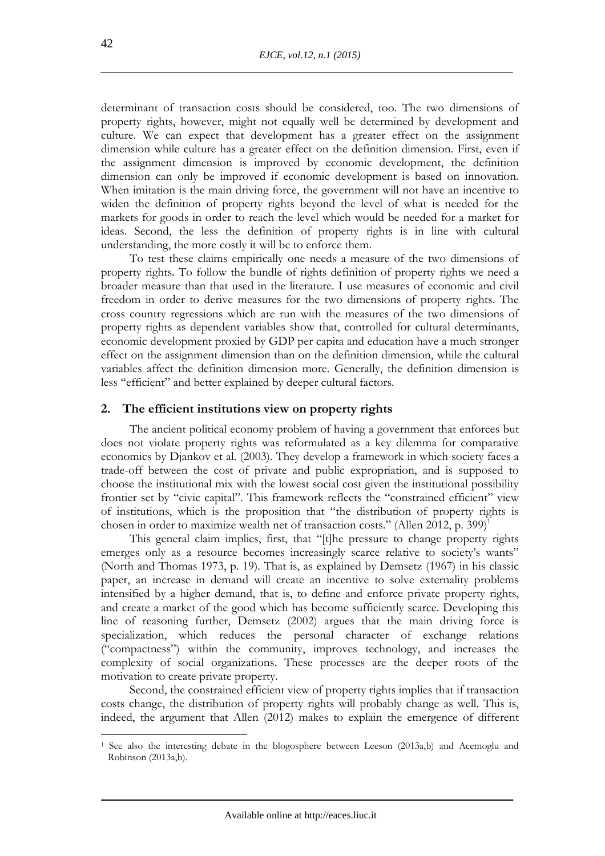determinant of transaction costs should be considered, too. The two dimensions of property rights, however, might not equally well be determined by development and culture. We can expect that development has a greater effect on the assignment dimension while culture has a greater effect on the definition dimension. First, even if the assignment dimension is improved by economic development, the definition dimension can only be improved if economic development is based on innovation. When imitation is the main driving force, the government will not have an incentive to widen the definition of property rights beyond the level of what is needed for the markets for goods in order to reach the level which would be needed for a market for ideas. Second, the less the definition of property rights is in line with cultural understanding, the more costly it will be to enforce them.

To test these claims empirically one needs a measure of the two dimensions of property rights. To follow the bundle of rights definition of property rights we need a broader measure than that used in the literature. I use measures of economic and civil freedom in order to derive measures for the two dimensions of property rights. The cross country regressions which are run with the measures of the two dimensions of property rights as dependent variables show that, controlled for cultural determinants, economic development proxied by GDP per capita and education have a much stronger effect on the assignment dimension than on the definition dimension, while the cultural variables affect the definition dimension more. Generally, the definition dimension is less "efficient" and better explained by deeper cultural factors.

# **2. The efficient institutions view on property rights**

The ancient political economy problem of having a government that enforces but does not violate property rights was reformulated as a key dilemma for comparative economics by Djankov et al. (2003). They develop a framework in which society faces a trade-off between the cost of private and public expropriation, and is supposed to choose the institutional mix with the lowest social cost given the institutional possibility frontier set by "civic capital". This framework reflects the "constrained efficient" view of institutions, which is the proposition that "the distribution of property rights is chosen in order to maximize wealth net of transaction costs." (Allen 2012, p. 399)<sup>1</sup>

This general claim implies, first, that "[t]he pressure to change property rights emerges only as a resource becomes increasingly scarce relative to society's wants" (North and Thomas 1973, p. 19). That is, as explained by Demsetz (1967) in his classic paper, an increase in demand will create an incentive to solve externality problems intensified by a higher demand, that is, to define and enforce private property rights, and create a market of the good which has become sufficiently scarce. Developing this line of reasoning further, Demsetz (2002) argues that the main driving force is specialization, which reduces the personal character of exchange relations ("compactness") within the community, improves technology, and increases the complexity of social organizations. These processes are the deeper roots of the motivation to create private property.

Second, the constrained efficient view of property rights implies that if transaction costs change, the distribution of property rights will probably change as well. This is, indeed, the argument that Allen (2012) makes to explain the emergence of different

<sup>&</sup>lt;sup>1</sup> See also the interesting debate in the blogosphere between Leeson (2013a,b) and Acemoglu and Robinson (2013a,b).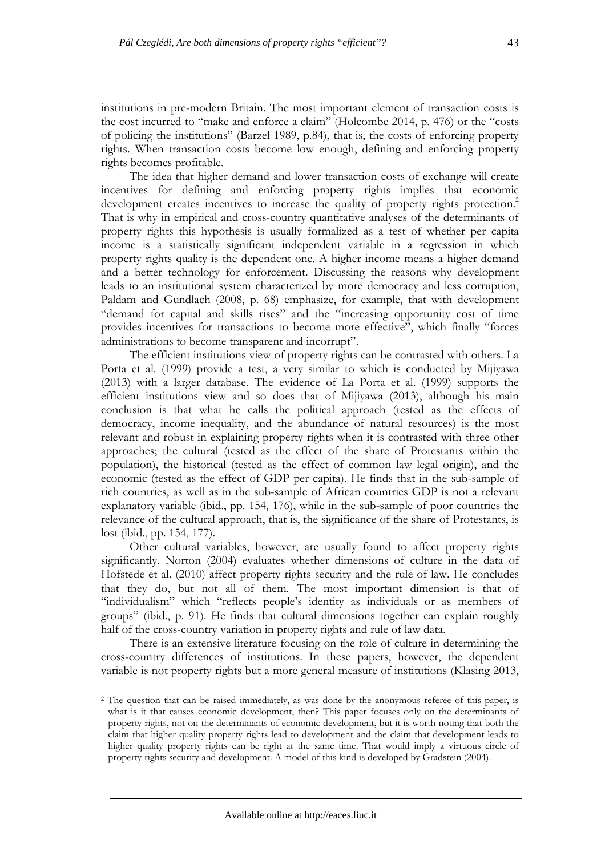institutions in pre-modern Britain. The most important element of transaction costs is the cost incurred to "make and enforce a claim" (Holcombe 2014, p. 476) or the "costs of policing the institutions" (Barzel 1989, p.84), that is, the costs of enforcing property rights. When transaction costs become low enough, defining and enforcing property rights becomes profitable.

The idea that higher demand and lower transaction costs of exchange will create incentives for defining and enforcing property rights implies that economic development creates incentives to increase the quality of property rights protection.<sup>2</sup> That is why in empirical and cross-country quantitative analyses of the determinants of property rights this hypothesis is usually formalized as a test of whether per capita income is a statistically significant independent variable in a regression in which property rights quality is the dependent one. A higher income means a higher demand and a better technology for enforcement. Discussing the reasons why development leads to an institutional system characterized by more democracy and less corruption, Paldam and Gundlach (2008, p. 68) emphasize, for example, that with development "demand for capital and skills rises" and the "increasing opportunity cost of time provides incentives for transactions to become more effective", which finally "forces administrations to become transparent and incorrupt".

The efficient institutions view of property rights can be contrasted with others. La Porta et al. (1999) provide a test, a very similar to which is conducted by Mijiyawa (2013) with a larger database. The evidence of La Porta et al. (1999) supports the efficient institutions view and so does that of Mijiyawa (2013), although his main conclusion is that what he calls the political approach (tested as the effects of democracy, income inequality, and the abundance of natural resources) is the most relevant and robust in explaining property rights when it is contrasted with three other approaches; the cultural (tested as the effect of the share of Protestants within the population), the historical (tested as the effect of common law legal origin), and the economic (tested as the effect of GDP per capita). He finds that in the sub-sample of rich countries, as well as in the sub-sample of African countries GDP is not a relevant explanatory variable (ibid., pp. 154, 176), while in the sub-sample of poor countries the relevance of the cultural approach, that is, the significance of the share of Protestants, is lost (ibid., pp. 154, 177).

Other cultural variables, however, are usually found to affect property rights significantly. Norton (2004) evaluates whether dimensions of culture in the data of Hofstede et al. (2010) affect property rights security and the rule of law. He concludes that they do, but not all of them. The most important dimension is that of "individualism" which "reflects people's identity as individuals or as members of groups" (ibid., p. 91). He finds that cultural dimensions together can explain roughly half of the cross-country variation in property rights and rule of law data.

There is an extensive literature focusing on the role of culture in determining the cross-country differences of institutions. In these papers, however, the dependent variable is not property rights but a more general measure of institutions (Klasing 2013,

<sup>&</sup>lt;sup>2</sup> The question that can be raised immediately, as was done by the anonymous referee of this paper, is what is it that causes economic development, then? This paper focuses only on the determinants of property rights, not on the determinants of economic development, but it is worth noting that both the claim that higher quality property rights lead to development and the claim that development leads to higher quality property rights can be right at the same time. That would imply a virtuous circle of property rights security and development. A model of this kind is developed by Gradstein (2004).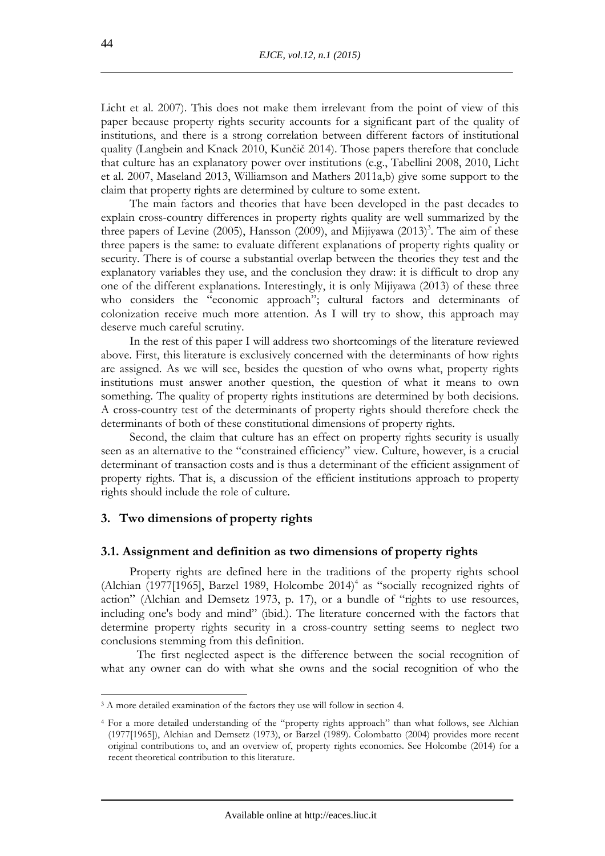Licht et al. 2007). This does not make them irrelevant from the point of view of this paper because property rights security accounts for a significant part of the quality of institutions, and there is a strong correlation between different factors of institutional quality (Langbein and Knack 2010, Kunčič 2014). Those papers therefore that conclude that culture has an explanatory power over institutions (e.g., Tabellini 2008, 2010, Licht et al. 2007, Maseland 2013, Williamson and Mathers 2011a,b) give some support to the claim that property rights are determined by culture to some extent.

The main factors and theories that have been developed in the past decades to explain cross-country differences in property rights quality are well summarized by the three papers of Levine (2005), Hansson (2009), and Mijiyawa (2013)<sup>3</sup>. The aim of these three papers is the same: to evaluate different explanations of property rights quality or security. There is of course a substantial overlap between the theories they test and the explanatory variables they use, and the conclusion they draw: it is difficult to drop any one of the different explanations. Interestingly, it is only Mijiyawa (2013) of these three who considers the "economic approach"; cultural factors and determinants of colonization receive much more attention. As I will try to show, this approach may deserve much careful scrutiny.

In the rest of this paper I will address two shortcomings of the literature reviewed above. First, this literature is exclusively concerned with the determinants of how rights are assigned. As we will see, besides the question of who owns what, property rights institutions must answer another question, the question of what it means to own something. The quality of property rights institutions are determined by both decisions. A cross-country test of the determinants of property rights should therefore check the determinants of both of these constitutional dimensions of property rights.

Second, the claim that culture has an effect on property rights security is usually seen as an alternative to the "constrained efficiency" view. Culture, however, is a crucial determinant of transaction costs and is thus a determinant of the efficient assignment of property rights. That is, a discussion of the efficient institutions approach to property rights should include the role of culture.

#### **3. Two dimensions of property rights**

#### **3.1. Assignment and definition as two dimensions of property rights**

Property rights are defined here in the traditions of the property rights school (Alchian (1977[1965], Barzel 1989, Holcombe  $2014$ <sup>4</sup> as "socially recognized rights of action" (Alchian and Demsetz 1973, p. 17), or a bundle of "rights to use resources, including one's body and mind" (ibid.). The literature concerned with the factors that determine property rights security in a cross-country setting seems to neglect two conclusions stemming from this definition.

The first neglected aspect is the difference between the social recognition of what any owner can do with what she owns and the social recognition of who the

<sup>3</sup> A more detailed examination of the factors they use will follow in section 4.

<sup>4</sup> For a more detailed understanding of the "property rights approach" than what follows, see Alchian (1977[1965]), Alchian and Demsetz (1973), or Barzel (1989). Colombatto (2004) provides more recent original contributions to, and an overview of, property rights economics. See Holcombe (2014) for a recent theoretical contribution to this literature.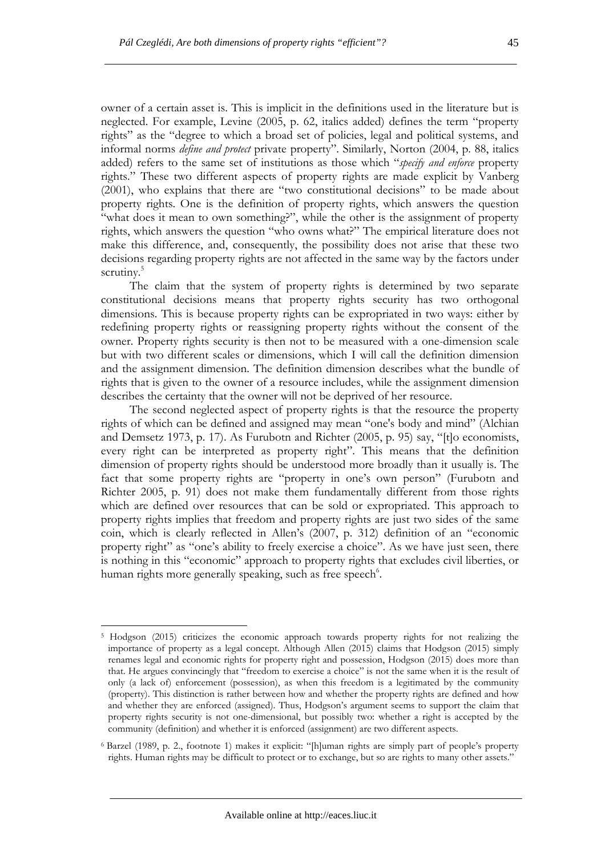owner of a certain asset is. This is implicit in the definitions used in the literature but is neglected. For example, Levine (2005, p. 62, italics added) defines the term "property rights" as the "degree to which a broad set of policies, legal and political systems, and informal norms *define and protect* private property". Similarly, Norton (2004, p. 88, italics added) refers to the same set of institutions as those which "*specify and enforce* property rights." These two different aspects of property rights are made explicit by Vanberg (2001), who explains that there are "two constitutional decisions" to be made about property rights. One is the definition of property rights, which answers the question "what does it mean to own something?", while the other is the assignment of property rights, which answers the question "who owns what?" The empirical literature does not make this difference, and, consequently, the possibility does not arise that these two decisions regarding property rights are not affected in the same way by the factors under scrutiny.<sup>5</sup>

The claim that the system of property rights is determined by two separate constitutional decisions means that property rights security has two orthogonal dimensions. This is because property rights can be expropriated in two ways: either by redefining property rights or reassigning property rights without the consent of the owner. Property rights security is then not to be measured with a one-dimension scale but with two different scales or dimensions, which I will call the definition dimension and the assignment dimension. The definition dimension describes what the bundle of rights that is given to the owner of a resource includes, while the assignment dimension describes the certainty that the owner will not be deprived of her resource.

The second neglected aspect of property rights is that the resource the property rights of which can be defined and assigned may mean "one's body and mind" (Alchian and Demsetz 1973, p. 17). As Furubotn and Richter (2005, p. 95) say, "[t]o economists, every right can be interpreted as property right". This means that the definition dimension of property rights should be understood more broadly than it usually is. The fact that some property rights are "property in one's own person" (Furubotn and Richter 2005, p. 91) does not make them fundamentally different from those rights which are defined over resources that can be sold or expropriated. This approach to property rights implies that freedom and property rights are just two sides of the same coin, which is clearly reflected in Allen's (2007, p. 312) definition of an "economic property right" as "one's ability to freely exercise a choice". As we have just seen, there is nothing in this "economic" approach to property rights that excludes civil liberties, or human rights more generally speaking, such as free speech<sup>6</sup>.

<sup>&</sup>lt;sup>5</sup> Hodgson (2015) criticizes the economic approach towards property rights for not realizing the importance of property as a legal concept. Although Allen (2015) claims that Hodgson (2015) simply renames legal and economic rights for property right and possession, Hodgson (2015) does more than that. He argues convincingly that "freedom to exercise a choice" is not the same when it is the result of only (a lack of) enforcement (possession), as when this freedom is a legitimated by the community (property). This distinction is rather between how and whether the property rights are defined and how and whether they are enforced (assigned). Thus, Hodgson's argument seems to support the claim that property rights security is not one-dimensional, but possibly two: whether a right is accepted by the community (definition) and whether it is enforced (assignment) are two different aspects.

<sup>6</sup>Barzel (1989, p. 2., footnote 1) makes it explicit: "[h]uman rights are simply part of people's property rights. Human rights may be difficult to protect or to exchange, but so are rights to many other assets."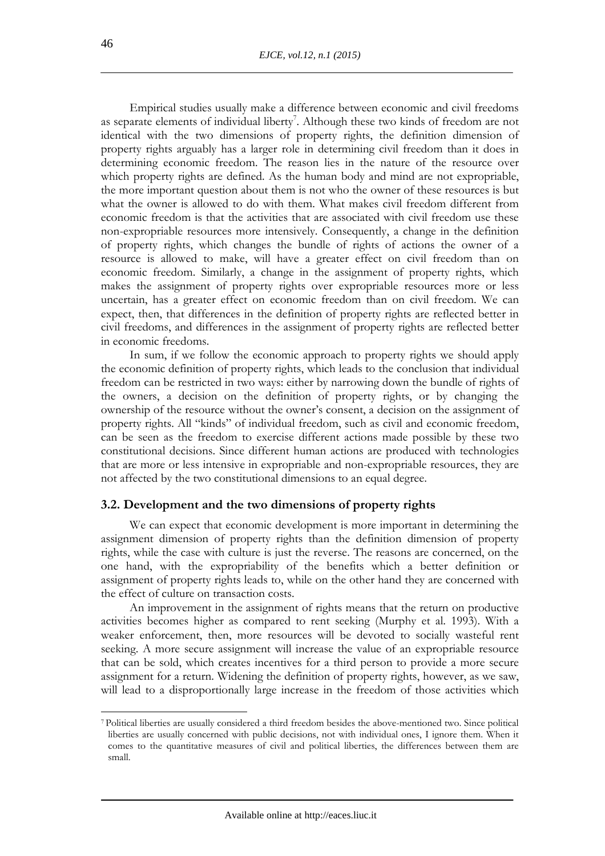Empirical studies usually make a difference between economic and civil freedoms as separate elements of individual liberty<sup>7</sup>. Although these two kinds of freedom are not identical with the two dimensions of property rights, the definition dimension of property rights arguably has a larger role in determining civil freedom than it does in determining economic freedom. The reason lies in the nature of the resource over which property rights are defined. As the human body and mind are not expropriable, the more important question about them is not who the owner of these resources is but what the owner is allowed to do with them. What makes civil freedom different from economic freedom is that the activities that are associated with civil freedom use these non-expropriable resources more intensively. Consequently, a change in the definition of property rights, which changes the bundle of rights of actions the owner of a resource is allowed to make, will have a greater effect on civil freedom than on economic freedom. Similarly, a change in the assignment of property rights, which makes the assignment of property rights over expropriable resources more or less uncertain, has a greater effect on economic freedom than on civil freedom. We can expect, then, that differences in the definition of property rights are reflected better in civil freedoms, and differences in the assignment of property rights are reflected better in economic freedoms.

In sum, if we follow the economic approach to property rights we should apply the economic definition of property rights, which leads to the conclusion that individual freedom can be restricted in two ways: either by narrowing down the bundle of rights of the owners, a decision on the definition of property rights, or by changing the ownership of the resource without the owner's consent, a decision on the assignment of property rights. All "kinds" of individual freedom, such as civil and economic freedom, can be seen as the freedom to exercise different actions made possible by these two constitutional decisions. Since different human actions are produced with technologies that are more or less intensive in expropriable and non-expropriable resources, they are not affected by the two constitutional dimensions to an equal degree.

#### **3.2. Development and the two dimensions of property rights**

We can expect that economic development is more important in determining the assignment dimension of property rights than the definition dimension of property rights, while the case with culture is just the reverse. The reasons are concerned, on the one hand, with the expropriability of the benefits which a better definition or assignment of property rights leads to, while on the other hand they are concerned with the effect of culture on transaction costs.

An improvement in the assignment of rights means that the return on productive activities becomes higher as compared to rent seeking (Murphy et al. 1993). With a weaker enforcement, then, more resources will be devoted to socially wasteful rent seeking. A more secure assignment will increase the value of an expropriable resource that can be sold, which creates incentives for a third person to provide a more secure assignment for a return. Widening the definition of property rights, however, as we saw, will lead to a disproportionally large increase in the freedom of those activities which

<sup>7</sup>Political liberties are usually considered a third freedom besides the above-mentioned two. Since political liberties are usually concerned with public decisions, not with individual ones, I ignore them. When it comes to the quantitative measures of civil and political liberties, the differences between them are small.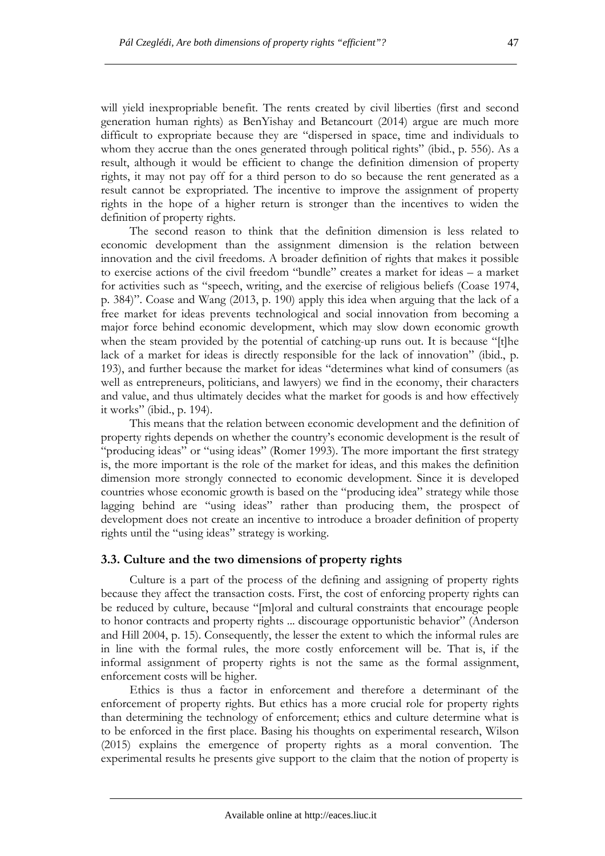will yield inexpropriable benefit. The rents created by civil liberties (first and second generation human rights) as BenYishay and Betancourt (2014) argue are much more difficult to expropriate because they are "dispersed in space, time and individuals to whom they accrue than the ones generated through political rights" (ibid., p. 556). As a result, although it would be efficient to change the definition dimension of property rights, it may not pay off for a third person to do so because the rent generated as a result cannot be expropriated. The incentive to improve the assignment of property rights in the hope of a higher return is stronger than the incentives to widen the definition of property rights.

The second reason to think that the definition dimension is less related to economic development than the assignment dimension is the relation between innovation and the civil freedoms. A broader definition of rights that makes it possible to exercise actions of the civil freedom "bundle" creates a market for ideas – a market for activities such as "speech, writing, and the exercise of religious beliefs (Coase 1974, p. 384)". Coase and Wang (2013, p. 190) apply this idea when arguing that the lack of a free market for ideas prevents technological and social innovation from becoming a major force behind economic development, which may slow down economic growth when the steam provided by the potential of catching-up runs out. It is because "[t]he lack of a market for ideas is directly responsible for the lack of innovation" (ibid., p. 193), and further because the market for ideas "determines what kind of consumers (as well as entrepreneurs, politicians, and lawyers) we find in the economy, their characters and value, and thus ultimately decides what the market for goods is and how effectively it works" (ibid., p. 194).

This means that the relation between economic development and the definition of property rights depends on whether the country's economic development is the result of "producing ideas" or "using ideas" (Romer 1993). The more important the first strategy is, the more important is the role of the market for ideas, and this makes the definition dimension more strongly connected to economic development. Since it is developed countries whose economic growth is based on the "producing idea" strategy while those lagging behind are "using ideas" rather than producing them, the prospect of development does not create an incentive to introduce a broader definition of property rights until the "using ideas" strategy is working.

#### **3.3. Culture and the two dimensions of property rights**

Culture is a part of the process of the defining and assigning of property rights because they affect the transaction costs. First, the cost of enforcing property rights can be reduced by culture, because "[m]oral and cultural constraints that encourage people to honor contracts and property rights ... discourage opportunistic behavior" (Anderson and Hill 2004, p. 15). Consequently, the lesser the extent to which the informal rules are in line with the formal rules, the more costly enforcement will be. That is, if the informal assignment of property rights is not the same as the formal assignment, enforcement costs will be higher.

Ethics is thus a factor in enforcement and therefore a determinant of the enforcement of property rights. But ethics has a more crucial role for property rights than determining the technology of enforcement; ethics and culture determine what is to be enforced in the first place. Basing his thoughts on experimental research, Wilson (2015) explains the emergence of property rights as a moral convention. The experimental results he presents give support to the claim that the notion of property is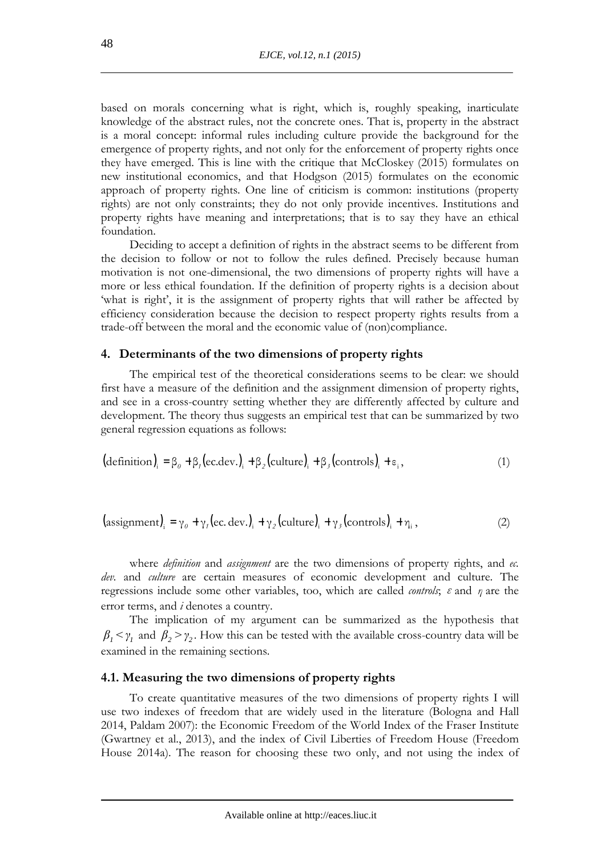based on morals concerning what is right, which is, roughly speaking, inarticulate knowledge of the abstract rules, not the concrete ones. That is, property in the abstract is a moral concept: informal rules including culture provide the background for the emergence of property rights, and not only for the enforcement of property rights once they have emerged. This is line with the critique that McCloskey (2015) formulates on new institutional economics, and that Hodgson (2015) formulates on the economic approach of property rights. One line of criticism is common: institutions (property rights) are not only constraints; they do not only provide incentives. Institutions and property rights have meaning and interpretations; that is to say they have an ethical foundation.

Deciding to accept a definition of rights in the abstract seems to be different from the decision to follow or not to follow the rules defined. Precisely because human motivation is not one-dimensional, the two dimensions of property rights will have a more or less ethical foundation. If the definition of property rights is a decision about 'what is right', it is the assignment of property rights that will rather be affected by efficiency consideration because the decision to respect property rights results from a trade-off between the moral and the economic value of (non)compliance.

#### **4. Determinants of the two dimensions of property rights**

The empirical test of the theoretical considerations seems to be clear: we should first have a measure of the definition and the assignment dimension of property rights, and see in a cross-country setting whether they are differently affected by culture and development. The theory thus suggests an empirical test that can be summarized by two general regression equations as follows:

$$
(\text{definition})_i = \beta_0 + \beta_1 (\text{ec.dev.})_i + \beta_2 (\text{ culture})_i + \beta_3 (\text{controls})_i + \epsilon_i, \tag{1}
$$

$$
(\text{assignment})_{i} = \gamma_{0} + \gamma_{1}(\text{ec. dev.})_{i} + \gamma_{2}(\text{ culture})_{i} + \gamma_{3}(\text{controls})_{i} + \eta_{i}, \tag{2}
$$

where *definition* and *assignment* are the two dimensions of property rights, and *ec. dev.* and *culture* are certain measures of economic development and culture. The regressions include some other variables, too, which are called *controls*; *ε* and *η* are the error terms, and *i* denotes a country.

The implication of my argument can be summarized as the hypothesis that  $\beta_1 < \gamma_1$  and  $\beta_2 > \gamma_2$ . How this can be tested with the available cross-country data will be examined in the remaining sections.

#### **4.1. Measuring the two dimensions of property rights**

To create quantitative measures of the two dimensions of property rights I will use two indexes of freedom that are widely used in the literature (Bologna and Hall 2014, Paldam 2007): the Economic Freedom of the World Index of the Fraser Institute (Gwartney et al., 2013), and the index of Civil Liberties of Freedom House (Freedom House 2014a). The reason for choosing these two only, and not using the index of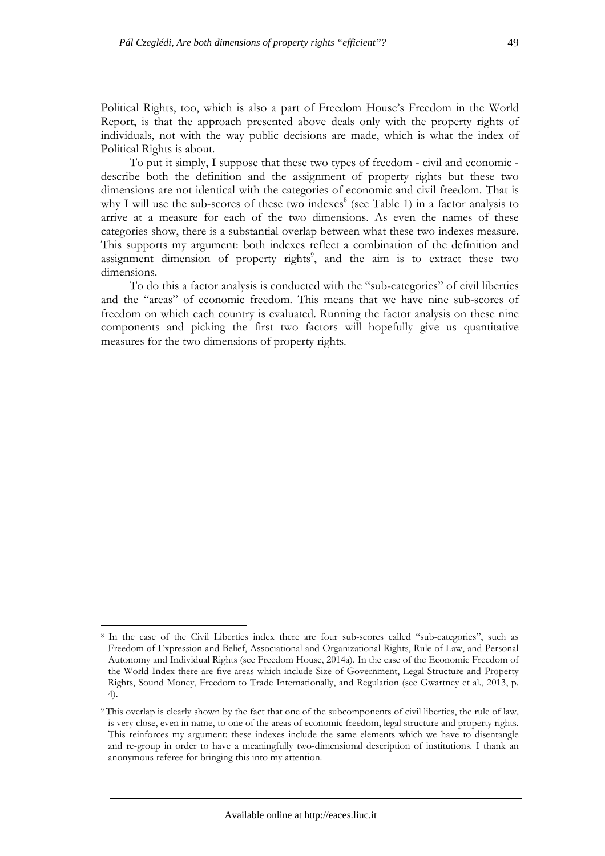Political Rights, too, which is also a part of Freedom House's Freedom in the World Report, is that the approach presented above deals only with the property rights of individuals, not with the way public decisions are made, which is what the index of Political Rights is about.

To put it simply, I suppose that these two types of freedom - civil and economic describe both the definition and the assignment of property rights but these two dimensions are not identical with the categories of economic and civil freedom. That is why I will use the sub-scores of these two indexes<sup>8</sup> (see Table 1) in a factor analysis to arrive at a measure for each of the two dimensions. As even the names of these categories show, there is a substantial overlap between what these two indexes measure. This supports my argument: both indexes reflect a combination of the definition and assignment dimension of property rights<sup>9</sup>, and the aim is to extract these two dimensions.

To do this a factor analysis is conducted with the "sub-categories" of civil liberties and the "areas" of economic freedom. This means that we have nine sub-scores of freedom on which each country is evaluated. Running the factor analysis on these nine components and picking the first two factors will hopefully give us quantitative measures for the two dimensions of property rights.

<sup>8</sup> In the case of the Civil Liberties index there are four sub-scores called "sub-categories", such as Freedom of Expression and Belief, Associational and Organizational Rights, Rule of Law, and Personal Autonomy and Individual Rights (see Freedom House, 2014a). In the case of the Economic Freedom of the World Index there are five areas which include Size of Government, Legal Structure and Property Rights, Sound Money, Freedom to Trade Internationally, and Regulation (see Gwartney et al., 2013, p. 4).

<sup>9</sup>This overlap is clearly shown by the fact that one of the subcomponents of civil liberties, the rule of law, is very close, even in name, to one of the areas of economic freedom, legal structure and property rights. This reinforces my argument: these indexes include the same elements which we have to disentangle and re-group in order to have a meaningfully two-dimensional description of institutions. I thank an anonymous referee for bringing this into my attention.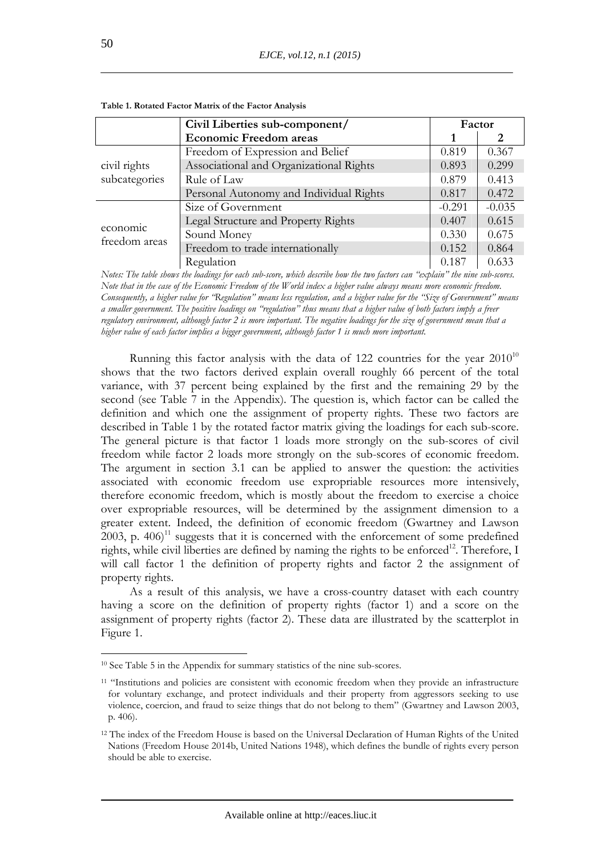|                           | Civil Liberties sub-component/          | Factor   |          |  |
|---------------------------|-----------------------------------------|----------|----------|--|
|                           | <b>Economic Freedom areas</b>           |          | 2        |  |
|                           | Freedom of Expression and Belief        | 0.819    | 0.367    |  |
| civil rights              | Associational and Organizational Rights | 0.893    | 0.299    |  |
| subcategories             | Rule of Law                             | 0.879    | 0.413    |  |
|                           | Personal Autonomy and Individual Rights | 0.817    | 0.472    |  |
|                           | Size of Government                      | $-0.291$ | $-0.035$ |  |
|                           | Legal Structure and Property Rights     | 0.407    | 0.615    |  |
| economic<br>freedom areas | Sound Money                             | 0.330    | 0.675    |  |
|                           | Freedom to trade internationally        | 0.152    | 0.864    |  |
|                           | Regulation                              | 0.187    | 0.633    |  |

**Table 1. Rotated Factor Matrix of the Factor Analysis** 

*Notes: The table shows the loadings for each sub-score, which describe how the two factors can "explain" the nine sub-scores. Note that in the case of the Economic Freedom of the World index a higher value always means more economic freedom. Consequently, a higher value for "Regulation" means less regulation, and a higher value for the "Size of Government" means a smaller government. The positive loadings on "regulation" thus means that a higher value of both factors imply a freer regulatory environment, although factor 2 is more important. The negative loadings for the size of government mean that a higher value of each factor implies a bigger government, although factor 1 is much more important.* 

Running this factor analysis with the data of 122 countries for the year  $2010^{10}$ shows that the two factors derived explain overall roughly 66 percent of the total variance, with 37 percent being explained by the first and the remaining 29 by the second (see Table 7 in the Appendix). The question is, which factor can be called the definition and which one the assignment of property rights. These two factors are described in Table 1 by the rotated factor matrix giving the loadings for each sub-score. The general picture is that factor 1 loads more strongly on the sub-scores of civil freedom while factor 2 loads more strongly on the sub-scores of economic freedom. The argument in section 3.1 can be applied to answer the question: the activities associated with economic freedom use expropriable resources more intensively, therefore economic freedom, which is mostly about the freedom to exercise a choice over expropriable resources, will be determined by the assignment dimension to a greater extent. Indeed, the definition of economic freedom (Gwartney and Lawson  $2003$ , p. 406)<sup>11</sup> suggests that it is concerned with the enforcement of some predefined rights, while civil liberties are defined by naming the rights to be enforced<sup>12</sup>. Therefore, I will call factor 1 the definition of property rights and factor 2 the assignment of property rights.

As a result of this analysis, we have a cross-country dataset with each country having a score on the definition of property rights (factor 1) and a score on the assignment of property rights (factor 2). These data are illustrated by the scatterplot in Figure 1.

<sup>10</sup> See Table 5 in the Appendix for summary statistics of the nine sub-scores.

<sup>&</sup>lt;sup>11</sup> "Institutions and policies are consistent with economic freedom when they provide an infrastructure for voluntary exchange, and protect individuals and their property from aggressors seeking to use violence, coercion, and fraud to seize things that do not belong to them" (Gwartney and Lawson 2003, p. 406).

<sup>&</sup>lt;sup>12</sup> The index of the Freedom House is based on the Universal Declaration of Human Rights of the United Nations (Freedom House 2014b, United Nations 1948), which defines the bundle of rights every person should be able to exercise.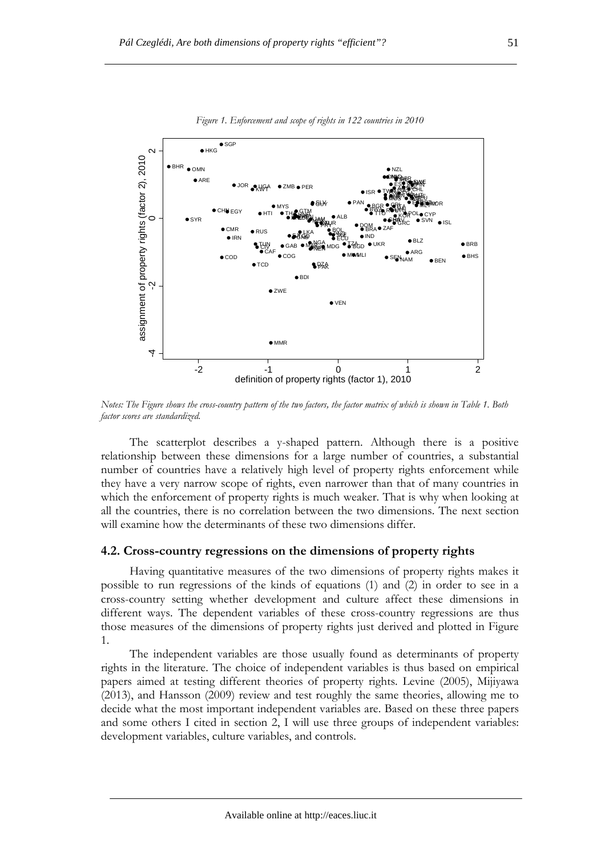

*Figure 1. Enforcement and scope of rights in 122 countries in 2010* 

*Notes: The Figure shows the cross-country pattern of the two factors, the factor matrix of which is shown in Table 1. Both factor scores are standardized.* 

The scatterplot describes a y-shaped pattern. Although there is a positive relationship between these dimensions for a large number of countries, a substantial number of countries have a relatively high level of property rights enforcement while they have a very narrow scope of rights, even narrower than that of many countries in which the enforcement of property rights is much weaker. That is why when looking at all the countries, there is no correlation between the two dimensions. The next section will examine how the determinants of these two dimensions differ.

#### **4.2. Cross-country regressions on the dimensions of property rights**

Having quantitative measures of the two dimensions of property rights makes it possible to run regressions of the kinds of equations (1) and (2) in order to see in a cross-country setting whether development and culture affect these dimensions in different ways. The dependent variables of these cross-country regressions are thus those measures of the dimensions of property rights just derived and plotted in Figure 1.

The independent variables are those usually found as determinants of property rights in the literature. The choice of independent variables is thus based on empirical papers aimed at testing different theories of property rights. Levine (2005), Mijiyawa (2013), and Hansson (2009) review and test roughly the same theories, allowing me to decide what the most important independent variables are. Based on these three papers and some others I cited in section 2, I will use three groups of independent variables: development variables, culture variables, and controls.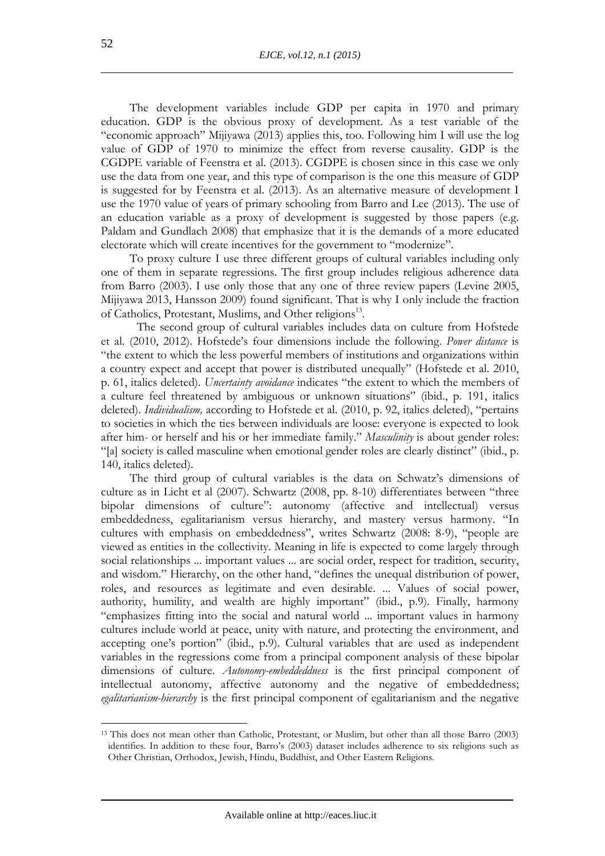The development variables include GDP per capita in 1970 and primary education. GDP is the obvious proxy of development. As a test variable of the "economic approach" Mijiyawa (2013) applies this, too. Following him I will use the log value of GDP of 1970 to minimize the effect from reverse causality. GDP is the CGDPE variable of Feenstra et al. (2013). CGDPE is chosen since in this case we only use the data from one year, and this type of comparison is the one this measure of GDP is suggested for by Feenstra et al. (2013). As an alternative measure of development I use the 1970 value of years of primary schooling from Barro and Lee (2013). The use of an education variable as a proxy of development is suggested by those papers (e.g. Paldam and Gundlach 2008) that emphasize that it is the demands of a more educated electorate which will create incentives for the government to "modernize".

To proxy culture I use three different groups of cultural variables including only one of them in separate regressions. The first group includes religious adherence data from Barro (2003). I use only those that any one of three review papers (Levine 2005, Mijiyawa 2013, Hansson 2009) found significant. That is why I only include the fraction of Catholics, Protestant, Muslims, and Other religions<sup>13</sup>.

The second group of cultural variables includes data on culture from Hofstede et al. (2010, 2012). Hofstede's four dimensions include the following. *Power distance* is "the extent to which the less powerful members of institutions and organizations within a country expect and accept that power is distributed unequally" (Hofstede et al. 2010, p. 61, italics deleted). *Uncertainty avoidance* indicates "the extent to which the members of a culture feel threatened by ambiguous or unknown situations" (ibid., p. 191, italics deleted). *Individualism,* according to Hofstede et al. (2010, p. 92, italics deleted), "pertains to societies in which the ties between individuals are loose: everyone is expected to look after him- or herself and his or her immediate family." *Masculinity* is about gender roles: "[a] society is called masculine when emotional gender roles are clearly distinct" (ibid., p. 140, italics deleted).

The third group of cultural variables is the data on Schwatz's dimensions of culture as in Licht et al (2007). Schwartz (2008, pp. 8-10) differentiates between "three bipolar dimensions of culture": autonomy (affective and intellectual) versus embeddedness, egalitarianism versus hierarchy, and mastery versus harmony. "In cultures with emphasis on embeddedness", writes Schwartz (2008: 8-9), "people are viewed as entities in the collectivity. Meaning in life is expected to come largely through social relationships ... important values ... are social order, respect for tradition, security, and wisdom." Hierarchy, on the other hand, "defines the unequal distribution of power, roles, and resources as legitimate and even desirable. ... Values of social power, authority, humility, and wealth are highly important" (ibid., p.9). Finally, harmony "emphasizes fitting into the social and natural world ... important values in harmony cultures include world at peace, unity with nature, and protecting the environment, and accepting one's portion" (ibid., p.9). Cultural variables that are used as independent variables in the regressions come from a principal component analysis of these bipolar dimensions of culture. *Autonomy-embeddeddness* is the first principal component of intellectual autonomy, affective autonomy and the negative of embeddedness; *egalitarianism-hierarchy* is the first principal component of egalitarianism and the negative

<sup>13</sup> This does not mean other than Catholic, Protestant, or Muslim, but other than all those Barro (2003) identifies. In addition to these four, Barro's (2003) dataset includes adherence to six religions such as Other Christian, Orthodox, Jewish, Hindu, Buddhist, and Other Eastern Religions.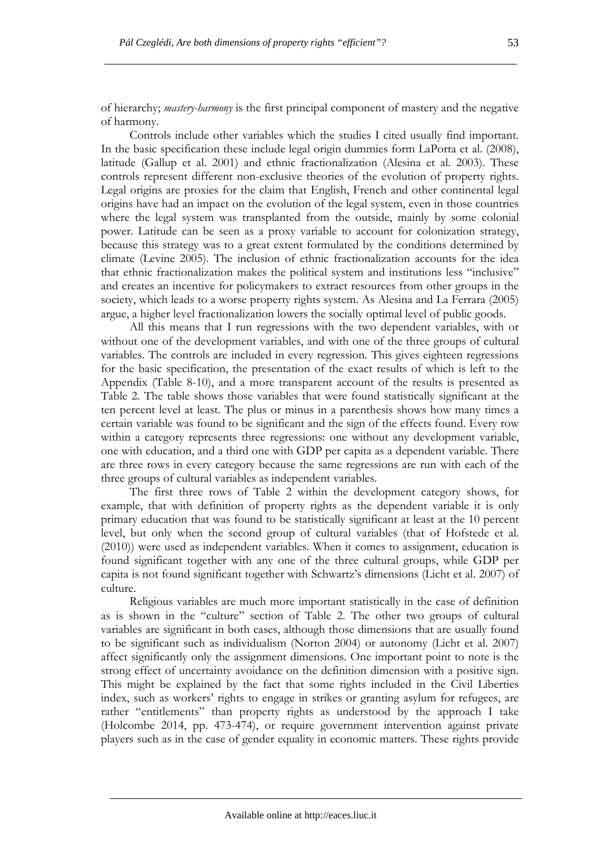of hierarchy; *mastery-harmony* is the first principal component of mastery and the negative of harmony.

Controls include other variables which the studies I cited usually find important. In the basic specification these include legal origin dummies form LaPorta et al. (2008), latitude (Gallup et al. 2001) and ethnic fractionalization (Alesina et al. 2003). These controls represent different non-exclusive theories of the evolution of property rights. Legal origins are proxies for the claim that English, French and other continental legal origins have had an impact on the evolution of the legal system, even in those countries where the legal system was transplanted from the outside, mainly by some colonial power. Latitude can be seen as a proxy variable to account for colonization strategy, because this strategy was to a great extent formulated by the conditions determined by climate (Levine 2005). The inclusion of ethnic fractionalization accounts for the idea that ethnic fractionalization makes the political system and institutions less "inclusive" and creates an incentive for policymakers to extract resources from other groups in the society, which leads to a worse property rights system. As Alesina and La Ferrara (2005) argue, a higher level fractionalization lowers the socially optimal level of public goods.

All this means that I run regressions with the two dependent variables, with or without one of the development variables, and with one of the three groups of cultural variables. The controls are included in every regression. This gives eighteen regressions for the basic specification, the presentation of the exact results of which is left to the Appendix (Table 8-10), and a more transparent account of the results is presented as Table 2. The table shows those variables that were found statistically significant at the ten percent level at least. The plus or minus in a parenthesis shows how many times a certain variable was found to be significant and the sign of the effects found. Every row within a category represents three regressions: one without any development variable, one with education, and a third one with GDP per capita as a dependent variable. There are three rows in every category because the same regressions are run with each of the three groups of cultural variables as independent variables.

The first three rows of Table 2 within the development category shows, for example, that with definition of property rights as the dependent variable it is only primary education that was found to be statistically significant at least at the 10 percent level, but only when the second group of cultural variables (that of Hofstede et al. (2010)) were used as independent variables. When it comes to assignment, education is found significant together with any one of the three cultural groups, while GDP per capita is not found significant together with Schwartz's dimensions (Licht et al. 2007) of culture.

Religious variables are much more important statistically in the case of definition as is shown in the "culture" section of Table 2. The other two groups of cultural variables are significant in both cases, although those dimensions that are usually found to be significant such as individualism (Norton 2004) or autonomy (Licht et al. 2007) affect significantly only the assignment dimensions. One important point to note is the strong effect of uncertainty avoidance on the definition dimension with a positive sign. This might be explained by the fact that some rights included in the Civil Liberties index, such as workers' rights to engage in strikes or granting asylum for refugees, are rather "entitlements" than property rights as understood by the approach I take (Holcombe 2014, pp. 473-474), or require government intervention against private players such as in the case of gender equality in economic matters. These rights provide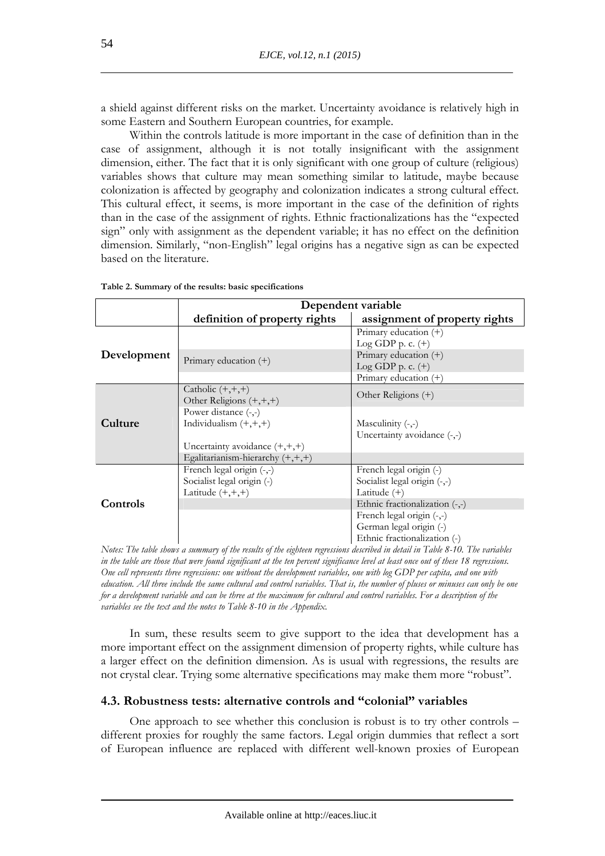a shield against different risks on the market. Uncertainty avoidance is relatively high in some Eastern and Southern European countries, for example.

Within the controls latitude is more important in the case of definition than in the case of assignment, although it is not totally insignificant with the assignment dimension, either. The fact that it is only significant with one group of culture (religious) variables shows that culture may mean something similar to latitude, maybe because colonization is affected by geography and colonization indicates a strong cultural effect. This cultural effect, it seems, is more important in the case of the definition of rights than in the case of the assignment of rights. Ethnic fractionalizations has the "expected sign" only with assignment as the dependent variable; it has no effect on the definition dimension. Similarly, "non-English" legal origins has a negative sign as can be expected based on the literature.

|             | Dependent variable                 |                                   |  |  |  |  |
|-------------|------------------------------------|-----------------------------------|--|--|--|--|
|             | definition of property rights      | assignment of property rights     |  |  |  |  |
|             |                                    | Primary education $(+)$           |  |  |  |  |
| Development |                                    | Log GDP p. c. $(+)$               |  |  |  |  |
|             | Primary education $(+)$            | Primary education (+)             |  |  |  |  |
|             |                                    | $Log GDP p.c. (+)$                |  |  |  |  |
|             |                                    | Primary education $(+)$           |  |  |  |  |
|             | Catholic $(+,+,+)$                 | Other Religions (+)               |  |  |  |  |
| Culture     | Other Religions $(+,+,+)$          |                                   |  |  |  |  |
|             | Power distance $(-,-)$             |                                   |  |  |  |  |
|             | Individualism $(+,+,+)$            | Masculinity $(-,-)$               |  |  |  |  |
|             |                                    | Uncertainty avoidance $(-,-)$     |  |  |  |  |
|             | Uncertainty avoidance $(+,+,+)$    |                                   |  |  |  |  |
|             | Egalitarianism-hierarchy $(+,+,+)$ |                                   |  |  |  |  |
|             | French legal origin (-,-)          | French legal origin (-)           |  |  |  |  |
|             | Socialist legal origin (-)         | Socialist legal origin (-,-)      |  |  |  |  |
| Controls    | Latitude $(+,+,+)$                 | Latitude $(+)$                    |  |  |  |  |
|             |                                    | Ethnic fractionalization $(-, -)$ |  |  |  |  |
|             |                                    | French legal origin (-,-)         |  |  |  |  |
|             |                                    | German legal origin (-)           |  |  |  |  |
|             |                                    | Ethnic fractionalization (-)      |  |  |  |  |

**Table 2. Summary of the results: basic specifications** 

*Notes: The table shows a summary of the results of the eighteen regressions described in detail in Table 8-10. The variables in the table are those that were found significant at the ten percent significance level at least once out of these 18 regressions. One cell represents three regressions: one without the development variables, one with log GDP per capita, and one with education. All three include the same cultural and control variables. That is, the number of pluses or minuses can only be one for a development variable and can be three at the maximum for cultural and control variables. For a description of the variables see the text and the notes to Table 8-10 in the Appendix.* 

In sum, these results seem to give support to the idea that development has a more important effect on the assignment dimension of property rights, while culture has a larger effect on the definition dimension. As is usual with regressions, the results are not crystal clear. Trying some alternative specifications may make them more "robust".

# **4.3. Robustness tests: alternative controls and "colonial" variables**

One approach to see whether this conclusion is robust is to try other controls – different proxies for roughly the same factors. Legal origin dummies that reflect a sort of European influence are replaced with different well-known proxies of European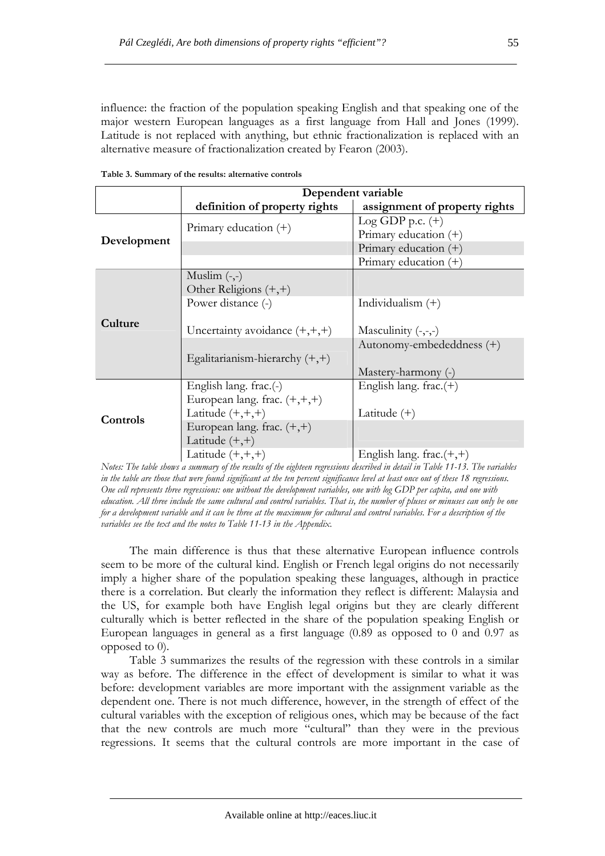influence: the fraction of the population speaking English and that speaking one of the major western European languages as a first language from Hall and Jones (1999). Latitude is not replaced with anything, but ethnic fractionalization is replaced with an alternative measure of fractionalization created by Fearon (2003).

|             | Dependent variable               |                               |  |  |  |  |
|-------------|----------------------------------|-------------------------------|--|--|--|--|
|             | definition of property rights    | assignment of property rights |  |  |  |  |
| Development |                                  | Log GDP p.c. $(+)$            |  |  |  |  |
|             | Primary education $(+)$          | Primary education $(+)$       |  |  |  |  |
|             |                                  | Primary education $(+)$       |  |  |  |  |
|             |                                  | Primary education $(+)$       |  |  |  |  |
|             | Muslim $(-,-)$                   |                               |  |  |  |  |
| Culture     | Other Religions $(+,+)$          |                               |  |  |  |  |
|             | Power distance (-)               | Individualism $(+)$           |  |  |  |  |
|             |                                  |                               |  |  |  |  |
|             | Uncertainty avoidance $(+,+,+)$  | Masculinity $(-,-,-)$         |  |  |  |  |
|             |                                  | Autonomy-embededdness (+)     |  |  |  |  |
|             | Egalitarianism-hierarchy $(+,+)$ |                               |  |  |  |  |
|             |                                  | Mastery-harmony (-)           |  |  |  |  |
|             | English lang. $frac(-)$          | English lang. $frac.(+)$      |  |  |  |  |
| Controls    | European lang. frac. $(+,+,+)$   |                               |  |  |  |  |
|             | Latitude $(+,+,+)$               | Latitude $(+)$                |  |  |  |  |
|             | European lang. frac. $(+,+)$     |                               |  |  |  |  |
|             | Latitude $(+,+)$                 |                               |  |  |  |  |
|             | Latitude $(+,+,+)$               | English lang. frac. $(+,+)$   |  |  |  |  |

**Table 3. Summary of the results: alternative controls** 

*Notes: The table shows a summary of the results of the eighteen regressions described in detail in Table 11-13. The variables in the table are those that were found significant at the ten percent significance level at least once out of these 18 regressions. One cell represents three regressions: one without the development variables, one with log GDP per capita, and one with education. All three include the same cultural and control variables. That is, the number of pluses or minuses can only be one for a development variable and it can be three at the maximum for cultural and control variables. For a description of the variables see the text and the notes to Table 11-13 in the Appendix.* 

The main difference is thus that these alternative European influence controls seem to be more of the cultural kind. English or French legal origins do not necessarily imply a higher share of the population speaking these languages, although in practice there is a correlation. But clearly the information they reflect is different: Malaysia and the US, for example both have English legal origins but they are clearly different culturally which is better reflected in the share of the population speaking English or European languages in general as a first language (0.89 as opposed to 0 and 0.97 as opposed to 0).

Table 3 summarizes the results of the regression with these controls in a similar way as before. The difference in the effect of development is similar to what it was before: development variables are more important with the assignment variable as the dependent one. There is not much difference, however, in the strength of effect of the cultural variables with the exception of religious ones, which may be because of the fact that the new controls are much more "cultural" than they were in the previous regressions. It seems that the cultural controls are more important in the case of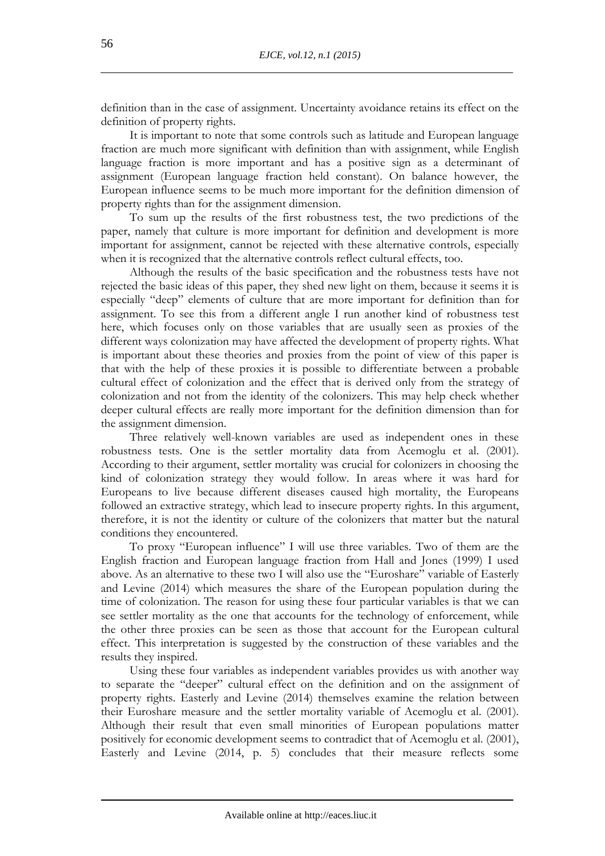definition than in the case of assignment. Uncertainty avoidance retains its effect on the definition of property rights.

It is important to note that some controls such as latitude and European language fraction are much more significant with definition than with assignment, while English language fraction is more important and has a positive sign as a determinant of assignment (European language fraction held constant). On balance however, the European influence seems to be much more important for the definition dimension of property rights than for the assignment dimension.

To sum up the results of the first robustness test, the two predictions of the paper, namely that culture is more important for definition and development is more important for assignment, cannot be rejected with these alternative controls, especially when it is recognized that the alternative controls reflect cultural effects, too.

Although the results of the basic specification and the robustness tests have not rejected the basic ideas of this paper, they shed new light on them, because it seems it is especially "deep" elements of culture that are more important for definition than for assignment. To see this from a different angle I run another kind of robustness test here, which focuses only on those variables that are usually seen as proxies of the different ways colonization may have affected the development of property rights. What is important about these theories and proxies from the point of view of this paper is that with the help of these proxies it is possible to differentiate between a probable cultural effect of colonization and the effect that is derived only from the strategy of colonization and not from the identity of the colonizers. This may help check whether deeper cultural effects are really more important for the definition dimension than for the assignment dimension.

Three relatively well-known variables are used as independent ones in these robustness tests. One is the settler mortality data from Acemoglu et al. (2001). According to their argument, settler mortality was crucial for colonizers in choosing the kind of colonization strategy they would follow. In areas where it was hard for Europeans to live because different diseases caused high mortality, the Europeans followed an extractive strategy, which lead to insecure property rights. In this argument, therefore, it is not the identity or culture of the colonizers that matter but the natural conditions they encountered.

To proxy "European influence" I will use three variables. Two of them are the English fraction and European language fraction from Hall and Jones (1999) I used above. As an alternative to these two I will also use the "Euroshare" variable of Easterly and Levine (2014) which measures the share of the European population during the time of colonization. The reason for using these four particular variables is that we can see settler mortality as the one that accounts for the technology of enforcement, while the other three proxies can be seen as those that account for the European cultural effect. This interpretation is suggested by the construction of these variables and the results they inspired.

Using these four variables as independent variables provides us with another way to separate the "deeper" cultural effect on the definition and on the assignment of property rights. Easterly and Levine (2014) themselves examine the relation between their Euroshare measure and the settler mortality variable of Acemoglu et al. (2001). Although their result that even small minorities of European populations matter positively for economic development seems to contradict that of Acemoglu et al. (2001), Easterly and Levine (2014, p. 5) concludes that their measure reflects some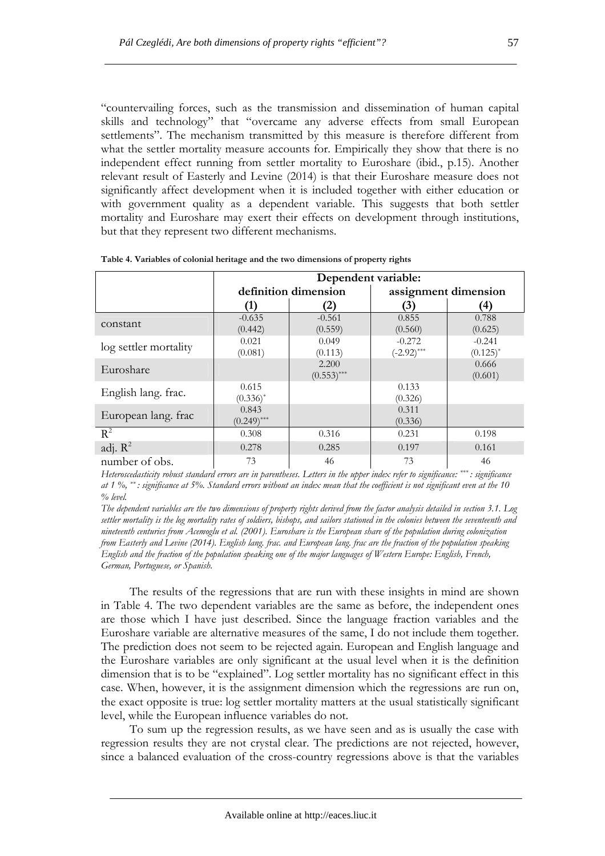"countervailing forces, such as the transmission and dissemination of human capital skills and technology" that "overcame any adverse effects from small European settlements". The mechanism transmitted by this measure is therefore different from what the settler mortality measure accounts for. Empirically they show that there is no independent effect running from settler mortality to Euroshare (ibid., p.15). Another relevant result of Easterly and Levine (2014) is that their Euroshare measure does not significantly affect development when it is included together with either education or with government quality as a dependent variable. This suggests that both settler mortality and Euroshare may exert their effects on development through institutions, but that they represent two different mechanisms.

|                       | Dependent variable:    |                        |                           |                           |  |  |  |
|-----------------------|------------------------|------------------------|---------------------------|---------------------------|--|--|--|
|                       |                        | definition dimension   | assignment dimension      |                           |  |  |  |
|                       | (1)                    | (2)                    | $\mathbf{3}$              | (4)                       |  |  |  |
| constant              | $-0.635$<br>(0.442)    | $-0.561$<br>(0.559)    | 0.855<br>(0.560)          | 0.788<br>(0.625)          |  |  |  |
| log settler mortality | 0.021<br>(0.081)       | 0.049<br>(0.113)       | $-0.272$<br>$(-2.92)$ *** | $-0.241$<br>$(0.125)^{*}$ |  |  |  |
| Euroshare             |                        | 2.200<br>$(0.553)$ *** |                           | 0.666<br>(0.601)          |  |  |  |
| English lang. frac.   | 0.615<br>$(0.336)^*$   |                        | 0.133<br>(0.326)          |                           |  |  |  |
| European lang. frac   | 0.843<br>$(0.249)$ *** |                        | 0.311<br>(0.336)          |                           |  |  |  |
| $R^2$                 | 0.308                  | 0.316                  | 0.231                     | 0.198                     |  |  |  |
| adj. $R^2$            | 0.278                  | 0.285                  | 0.197                     | 0.161                     |  |  |  |
| number of obs.        | 73                     | 46                     | 73                        | 46                        |  |  |  |

**Table 4. Variables of colonial heritage and the two dimensions of property rights** 

*Heteroscedasticity robust standard errors are in parentheses. Letters in the upper index refer to significance: \*\*\* : significance at 1 %, \*\* : significance at 5%. Standard errors without an index mean that the coefficient is not significant even at the 10 % level.* 

*The dependent variables are the two dimensions of property rights derived from the factor analysis detailed in section 3.1. Log settler mortality is the log mortality rates of soldiers, bishops, and sailors stationed in the colonies between the seventeenth and nineteenth centuries from Acemoglu et al. (2001). Euroshare is the European share of the population during colonization from Easterly and Levine (2014). English lang. frac. and European lang. frac are the fraction of the population speaking English and the fraction of the population speaking one of the major languages of Western Europe: English, French, German, Portuguese, or Spanish.* 

The results of the regressions that are run with these insights in mind are shown in Table 4. The two dependent variables are the same as before, the independent ones are those which I have just described. Since the language fraction variables and the Euroshare variable are alternative measures of the same, I do not include them together. The prediction does not seem to be rejected again. European and English language and the Euroshare variables are only significant at the usual level when it is the definition dimension that is to be "explained". Log settler mortality has no significant effect in this case. When, however, it is the assignment dimension which the regressions are run on, the exact opposite is true: log settler mortality matters at the usual statistically significant level, while the European influence variables do not.

To sum up the regression results, as we have seen and as is usually the case with regression results they are not crystal clear. The predictions are not rejected, however, since a balanced evaluation of the cross-country regressions above is that the variables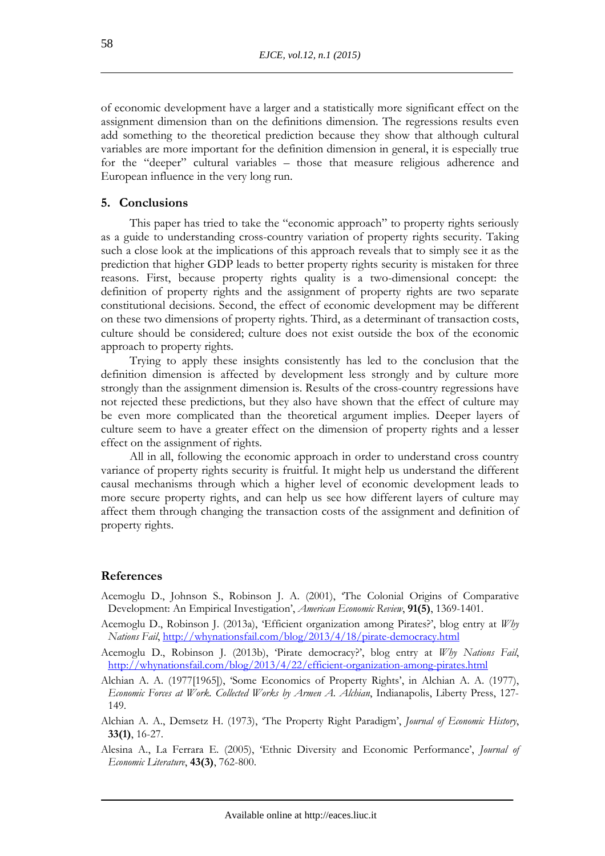of economic development have a larger and a statistically more significant effect on the assignment dimension than on the definitions dimension. The regressions results even add something to the theoretical prediction because they show that although cultural variables are more important for the definition dimension in general, it is especially true for the "deeper" cultural variables – those that measure religious adherence and European influence in the very long run.

#### **5. Conclusions**

This paper has tried to take the "economic approach" to property rights seriously as a guide to understanding cross-country variation of property rights security. Taking such a close look at the implications of this approach reveals that to simply see it as the prediction that higher GDP leads to better property rights security is mistaken for three reasons. First, because property rights quality is a two-dimensional concept: the definition of property rights and the assignment of property rights are two separate constitutional decisions. Second, the effect of economic development may be different on these two dimensions of property rights. Third, as a determinant of transaction costs, culture should be considered; culture does not exist outside the box of the economic approach to property rights.

Trying to apply these insights consistently has led to the conclusion that the definition dimension is affected by development less strongly and by culture more strongly than the assignment dimension is. Results of the cross-country regressions have not rejected these predictions, but they also have shown that the effect of culture may be even more complicated than the theoretical argument implies. Deeper layers of culture seem to have a greater effect on the dimension of property rights and a lesser effect on the assignment of rights.

All in all, following the economic approach in order to understand cross country variance of property rights security is fruitful. It might help us understand the different causal mechanisms through which a higher level of economic development leads to more secure property rights, and can help us see how different layers of culture may affect them through changing the transaction costs of the assignment and definition of property rights.

#### **References**

- Acemoglu D., Johnson S., Robinson J. A. (2001), 'The Colonial Origins of Comparative Development: An Empirical Investigation', *American Economic Review*, **91(5)**, 1369-1401.
- Acemoglu D., Robinson J. (2013a), 'Efficient organization among Pirates?', blog entry at *Why Nations Fail*, http://whynationsfail.com/blog/2013/4/18/pirate-democracy.html
- Acemoglu D., Robinson J. (2013b), 'Pirate democracy?', blog entry at *Why Nations Fail*, http://whynationsfail.com/blog/2013/4/22/efficient-organization-among-pirates.html
- Alchian A. A. (1977[1965]), 'Some Economics of Property Rights', in Alchian A. A. (1977), *Economic Forces at Work. Collected Works by Armen A. Alchian*, Indianapolis, Liberty Press, 127- 149.
- Alchian A. A., Demsetz H. (1973), 'The Property Right Paradigm', *Journal of Economic History*, **33(1)**, 16-27.
- Alesina A., La Ferrara E. (2005), 'Ethnic Diversity and Economic Performance', *Journal of Economic Literature*, **43(3)**, 762-800.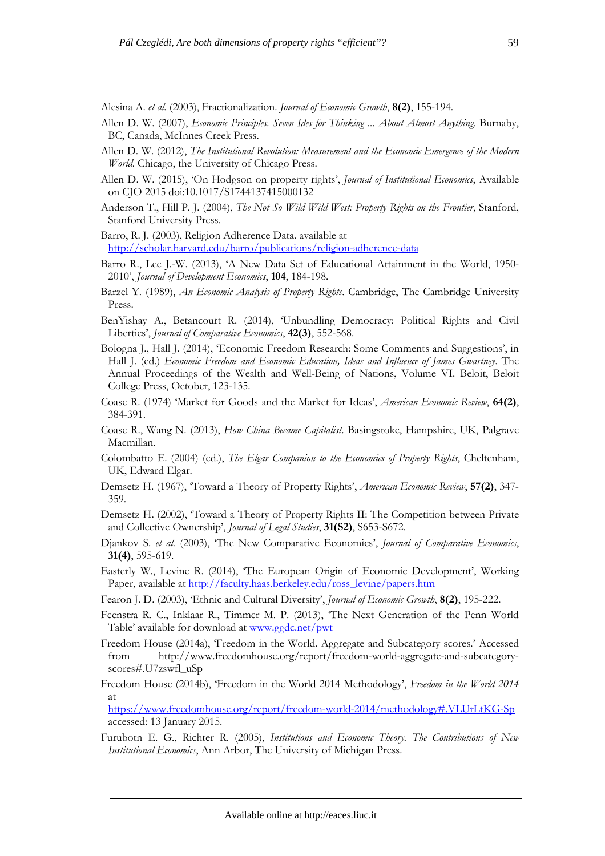Alesina A. *et al.* (2003), Fractionalization. *Journal of Economic Growth*, **8(2)**, 155-194.

- Allen D. W. (2007), *Economic Principles. Seven Ides for Thinking ... About Almost Anything*. Burnaby, BC, Canada, McInnes Creek Press.
- Allen D. W. (2012), *The Institutional Revolution: Measurement and the Economic Emergence of the Modern World*. Chicago, the University of Chicago Press.
- Allen D. W. (2015), 'On Hodgson on property rights', *Journal of Institutional Economics*, Available on CJO 2015 doi:10.1017/S1744137415000132
- Anderson T., Hill P. J. (2004), *The Not So Wild Wild West: Property Rights on the Frontier*, Stanford, Stanford University Press.

Barro, R. J. (2003), Religion Adherence Data. available at http://scholar.harvard.edu/barro/publications/religion-adherence-data

- Barro R., Lee J.-W. (2013), 'A New Data Set of Educational Attainment in the World, 1950- 2010', *Journal of Development Economics*, **104**, 184-198.
- Barzel Y. (1989), *An Economic Analysis of Property Rights*. Cambridge, The Cambridge University Press.
- BenYishay A., Betancourt R. (2014), 'Unbundling Democracy: Political Rights and Civil Liberties', *Journal of Comparative Economics*, **42(3)**, 552-568.
- Bologna J., Hall J. (2014), 'Economic Freedom Research: Some Comments and Suggestions', in Hall J. (ed.) *Economic Freedom and Economic Education, Ideas and Influence of James Gwartney*. The Annual Proceedings of the Wealth and Well-Being of Nations, Volume VI. Beloit, Beloit College Press, October, 123-135.
- Coase R. (1974) 'Market for Goods and the Market for Ideas', *American Economic Review*, **64(2)**, 384-391.
- Coase R., Wang N. (2013), *How China Became Capitalist*. Basingstoke, Hampshire, UK, Palgrave Macmillan.
- Colombatto E. (2004) (ed.), *The Elgar Companion to the Economics of Property Rights*, Cheltenham, UK, Edward Elgar.
- Demsetz H. (1967), 'Toward a Theory of Property Rights', *American Economic Review*, **57(2)**, 347- 359.
- Demsetz H. (2002), 'Toward a Theory of Property Rights II: The Competition between Private and Collective Ownership', *Journal of Legal Studies*, **31(S2)**, S653-S672.
- Djankov S. *et al.* (2003), 'The New Comparative Economics', *Journal of Comparative Economics*, **31(4)**, 595-619.
- Easterly W., Levine R. (2014), 'The European Origin of Economic Development', Working Paper, available at http://faculty.haas.berkeley.edu/ross\_levine/papers.htm

Fearon J. D. (2003), 'Ethnic and Cultural Diversity', *Journal of Economic Growth*, **8(2)**, 195-222.

- Feenstra R. C., Inklaar R., Timmer M. P. (2013), 'The Next Generation of the Penn World Table' available for download at www.ggdc.net/pwt
- Freedom House (2014a), 'Freedom in the World. Aggregate and Subcategory scores.' Accessed from http://www.freedomhouse.org/report/freedom-world-aggregate-and-subcategoryscores#.U7zswfl\_uSp
- Freedom House (2014b), 'Freedom in the World 2014 Methodology', *Freedom in the World 2014* at

https://www.freedomhouse.org/report/freedom-world-2014/methodology#.VLUrLtKG-Sp accessed: 13 January 2015.

Furubotn E. G., Richter R. (2005), *Institutions and Economic Theory. The Contributions of New Institutional Economics*, Ann Arbor, The University of Michigan Press.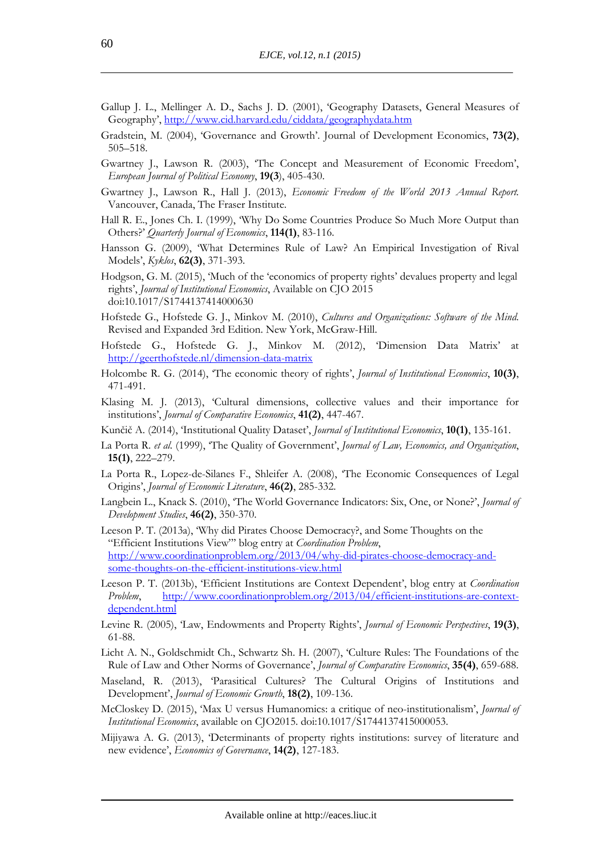- Gallup J. L., Mellinger A. D., Sachs J. D. (2001), 'Geography Datasets, General Measures of Geography', http://www.cid.harvard.edu/ciddata/geographydata.htm
- Gradstein, M. (2004), 'Governance and Growth'. Journal of Development Economics, **73(2)**, 505–518.
- Gwartney J., Lawson R. (2003), 'The Concept and Measurement of Economic Freedom', *European Journal of Political Economy*, **19(3**), 405-430.
- Gwartney J., Lawson R., Hall J. (2013), *Economic Freedom of the World 2013 Annual Report.* Vancouver, Canada, The Fraser Institute.
- Hall R. E., Jones Ch. I. (1999), 'Why Do Some Countries Produce So Much More Output than Others?' *Quarterly Journal of Economics*, **114(1)**, 83-116.
- Hansson G. (2009), 'What Determines Rule of Law? An Empirical Investigation of Rival Models', *Kyklos*, **62(3)**, 371-393.
- Hodgson, G. M. (2015), 'Much of the 'economics of property rights' devalues property and legal rights', *Journal of Institutional Economics*, Available on CJO 2015 doi:10.1017/S1744137414000630
- Hofstede G., Hofstede G. J., Minkov M. (2010), *Cultures and Organizations: Software of the Mind*. Revised and Expanded 3rd Edition. New York, McGraw-Hill.
- Hofstede G., Hofstede G. J., Minkov M. (2012), 'Dimension Data Matrix' at http://geerthofstede.nl/dimension-data-matrix
- Holcombe R. G. (2014), 'The economic theory of rights', *Journal of Institutional Economics*, **10(3)**, 471-491.
- Klasing M. J. (2013), 'Cultural dimensions, collective values and their importance for institutions', *Journal of Comparative Economics*, **41(2)**, 447-467.
- Kunčič A. (2014), 'Institutional Quality Dataset', *Journal of Institutional Economics*, **10(1)**, 135-161.
- La Porta R. *et al.* (1999), 'The Quality of Government', *Journal of Law, Economics, and Organization*, **15(1)**, 222–279.
- La Porta R., Lopez-de-Silanes F., Shleifer A. (2008), 'The Economic Consequences of Legal Origins', *Journal of Economic Literature*, **46(2)**, 285-332.
- Langbein L., Knack S. (2010), 'The World Governance Indicators: Six, One, or None?', *Journal of Development Studies*, **46(2)**, 350-370.
- Leeson P. T. (2013a), 'Why did Pirates Choose Democracy?, and Some Thoughts on the "Efficient Institutions View"' blog entry at *Coordination Problem*, http://www.coordinationproblem.org/2013/04/why-did-pirates-choose-democracy-andsome-thoughts-on-the-efficient-institutions-view.html
- Leeson P. T. (2013b), 'Efficient Institutions are Context Dependent', blog entry at *Coordination Problem*, http://www.coordinationproblem.org/2013/04/efficient-institutions-are-contextdependent.html
- Levine R. (2005), 'Law, Endowments and Property Rights', *Journal of Economic Perspectives*, **19(3)**, 61-88.
- Licht A. N., Goldschmidt Ch., Schwartz Sh. H. (2007), 'Culture Rules: The Foundations of the Rule of Law and Other Norms of Governance', *Journal of Comparative Economics*, **35(4)**, 659-688.
- Maseland, R. (2013), 'Parasitical Cultures? The Cultural Origins of Institutions and Development', *Journal of Economic Growth*, **18(2)**, 109-136.
- McCloskey D. (2015), 'Max U versus Humanomics: a critique of neo-institutionalism', *Journal of Institutional Economics*, available on CJO2015. doi:10.1017/S1744137415000053.
- Mijiyawa A. G. (2013), 'Determinants of property rights institutions: survey of literature and new evidence', *Economics of Governance*, **14(2)**, 127-183.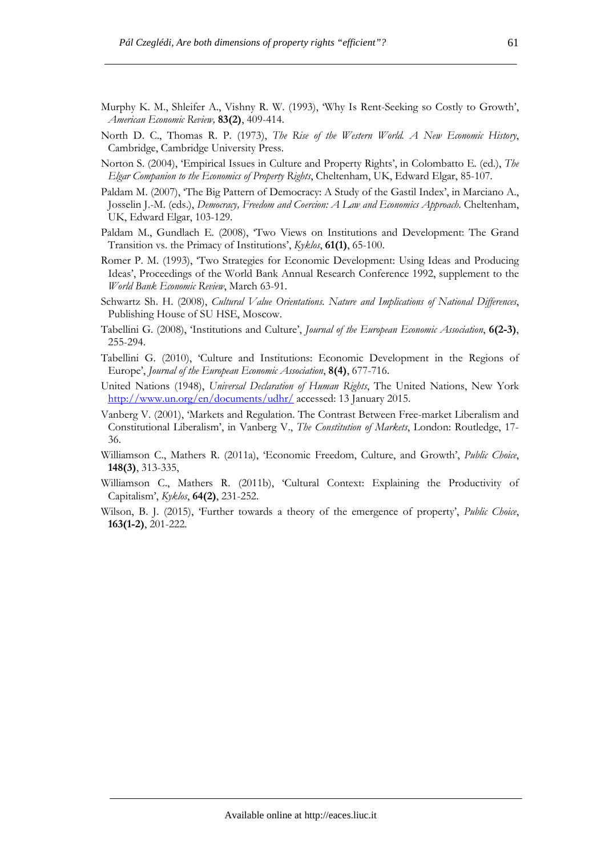- Murphy K. M., Shleifer A., Vishny R. W. (1993), 'Why Is Rent-Seeking so Costly to Growth', *American Economic Review,* **83(2)**, 409-414.
- North D. C., Thomas R. P. (1973), *The Rise of the Western World. A New Economic History*, Cambridge, Cambridge University Press.
- Norton S. (2004), 'Empirical Issues in Culture and Property Rights', in Colombatto E. (ed.), *The Elgar Companion to the Economics of Property Rights*, Cheltenham, UK, Edward Elgar, 85-107.
- Paldam M. (2007), 'The Big Pattern of Democracy: A Study of the Gastil Index', in Marciano A., Josselin J.-M. (eds.), *Democracy, Freedom and Coercion: A Law and Economics Approach*. Cheltenham, UK, Edward Elgar, 103-129.
- Paldam M., Gundlach E. (2008), 'Two Views on Institutions and Development: The Grand Transition vs. the Primacy of Institutions', *Kyklos*, **61(1)**, 65-100.
- Romer P. M. (1993), 'Two Strategies for Economic Development: Using Ideas and Producing Ideas', Proceedings of the World Bank Annual Research Conference 1992, supplement to the *World Bank Economic Review*, March 63-91.
- Schwartz Sh. H. (2008), *Cultural Value Orientations. Nature and Implications of National Differences*, Publishing House of SU HSE, Moscow.
- Tabellini G. (2008), 'Institutions and Culture', *Journal of the European Economic Association*, **6(2-3)**, 255-294.
- Tabellini G. (2010), 'Culture and Institutions: Economic Development in the Regions of Europe', *Journal of the European Economic Association*, **8(4)**, 677-716.
- United Nations (1948), *Universal Declaration of Human Rights*, The United Nations, New York http://www.un.org/en/documents/udhr/ accessed: 13 January 2015.
- Vanberg V. (2001), 'Markets and Regulation. The Contrast Between Free-market Liberalism and Constitutional Liberalism', in Vanberg V., *The Constitution of Markets*, London: Routledge, 17- 36.
- Williamson C., Mathers R. (2011a), 'Economic Freedom, Culture, and Growth', *Public Choice*, **148(3)**, 313-335,
- Williamson C., Mathers R. (2011b), 'Cultural Context: Explaining the Productivity of Capitalism', *Kyklos*, **64(2)**, 231-252.
- Wilson, B. J. (2015), 'Further towards a theory of the emergence of property', *Public Choice*, **163(1-2)**, 201-222.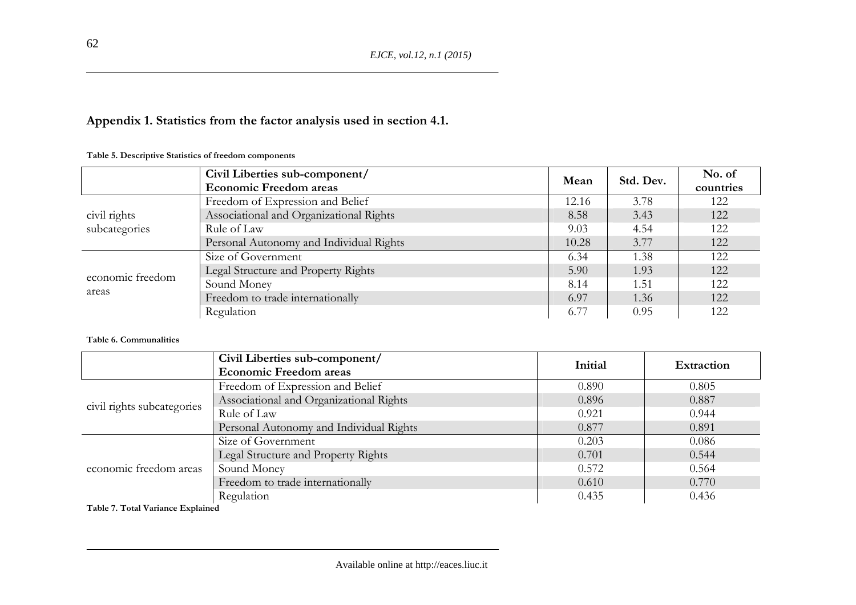# **Appendix 1. Statistics from the factor analysis used in section 4.1.**

|                  | Civil Liberties sub-component/          |       | Std. Dev. | No. of    |
|------------------|-----------------------------------------|-------|-----------|-----------|
|                  | <b>Economic Freedom areas</b>           | Mean  |           | countries |
|                  | Freedom of Expression and Belief        | 12.16 | 3.78      | 122       |
| civil rights     | Associational and Organizational Rights | 8.58  | 3.43      | 122       |
| subcategories    | Rule of Law                             | 9.03  | 4.54      | 122       |
|                  | Personal Autonomy and Individual Rights | 10.28 | 3.77      | 122       |
|                  | Size of Government                      | 6.34  | 1.38      | 122       |
| economic freedom | Legal Structure and Property Rights     | 5.90  | 1.93      | 122       |
| areas            | Sound Money                             | 8.14  | 1.51      | 122       |
|                  | Freedom to trade internationally        | 6.97  | 1.36      | 122       |
|                  | Regulation                              | 6.77  | 0.95      | 122       |

**Table 5. Descriptive Statistics of freedom components** 

#### **Table 6. Communalities**

|                            | Civil Liberties sub-component/          | Initial | <b>Extraction</b> |
|----------------------------|-----------------------------------------|---------|-------------------|
|                            | <b>Economic Freedom areas</b>           |         |                   |
|                            | Freedom of Expression and Belief        | 0.890   | 0.805             |
| civil rights subcategories | Associational and Organizational Rights | 0.896   | 0.887             |
|                            | Rule of Law                             | 0.921   | 0.944             |
|                            | Personal Autonomy and Individual Rights | 0.877   | 0.891             |
|                            | Size of Government                      | 0.203   | 0.086             |
|                            | Legal Structure and Property Rights     | 0.701   | 0.544             |
| economic freedom areas     | Sound Money                             | 0.572   | 0.564             |
|                            | Freedom to trade internationally        | 0.610   | 0.770             |
|                            | Regulation                              | 0.435   | 0.436             |

**Table 7. Total Variance Explained** 

62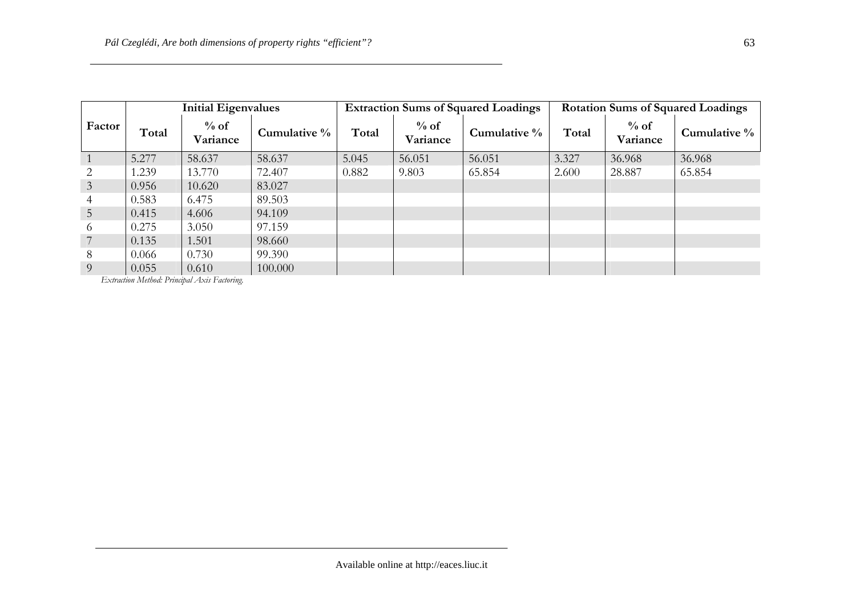|                 | <b>Initial Eigenvalues</b> |                    |              | <b>Extraction Sums of Squared Loadings</b> |                    |                 | <b>Rotation Sums of Squared Loadings</b> |                    |                 |
|-----------------|----------------------------|--------------------|--------------|--------------------------------------------|--------------------|-----------------|------------------------------------------|--------------------|-----------------|
| Factor          | Total                      | $%$ of<br>Variance | Cumulative % | Total                                      | $%$ of<br>Variance | Cumulative $\%$ | Total                                    | $%$ of<br>Variance | Cumulative $\%$ |
|                 | 5.277                      | 58.637             | 58.637       | 5.045                                      | 56.051             | 56.051          | 3.327                                    | 36.968             | 36.968          |
| 2               | 1.239                      | 13.770             | 72.407       | 0.882                                      | 9.803              | 65.854          | 2.600                                    | 28.887             | 65.854          |
| $\mathfrak{Z}$  | 0.956                      | 10.620             | 83.027       |                                            |                    |                 |                                          |                    |                 |
| 4               | 0.583                      | 6.475              | 89.503       |                                            |                    |                 |                                          |                    |                 |
| $5\overline{)}$ | 0.415                      | 4.606              | 94.109       |                                            |                    |                 |                                          |                    |                 |
| 6               | 0.275                      | 3.050              | 97.159       |                                            |                    |                 |                                          |                    |                 |
|                 | 0.135                      | 1.501              | 98.660       |                                            |                    |                 |                                          |                    |                 |
| 8               | 0.066                      | 0.730              | 99.390       |                                            |                    |                 |                                          |                    |                 |
| 9               | 0.055                      | 0.610              | 100,000      |                                            |                    |                 |                                          |                    |                 |

*Extraction Method: Principal Axis Factoring.*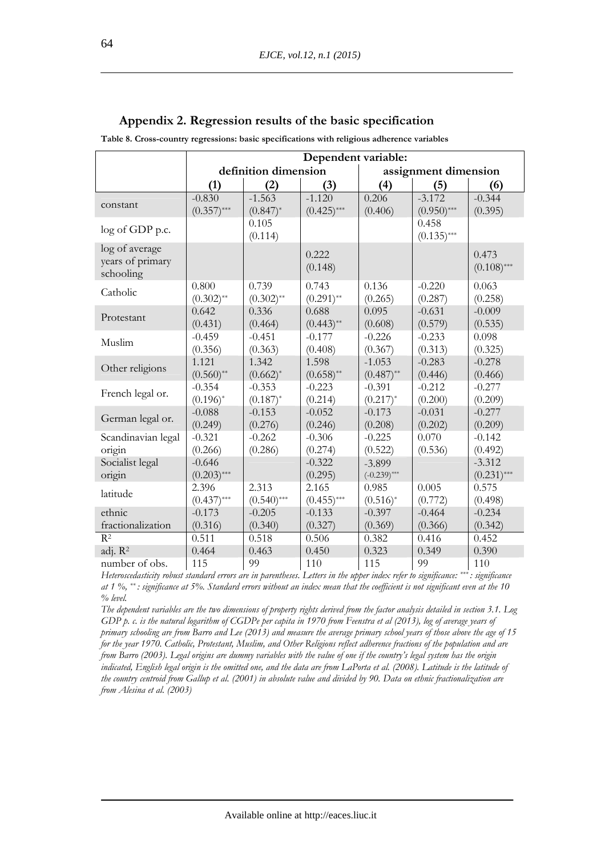|                                                 | Dependent variable:     |                         |                        |                          |                        |                        |
|-------------------------------------------------|-------------------------|-------------------------|------------------------|--------------------------|------------------------|------------------------|
|                                                 |                         | definition dimension    |                        |                          | assignment dimension   |                        |
|                                                 | (1)                     | (2)                     | (3)                    | (4)                      | (5)                    | (6)                    |
|                                                 | $-0.830$                | $-1.563$                | $-1.120$               | 0.206                    | $-3.172$               | $-0.344$               |
| constant                                        | $(0.357)$ ***           | $(0.847)^*$             | $(0.425)$ ***          | (0.406)                  | $(0.950)$ ***          | (0.395)                |
| log of GDP p.c.                                 |                         | 0.105<br>(0.114)        |                        |                          | 0.458<br>$(0.135)$ *** |                        |
| log of average<br>years of primary<br>schooling |                         |                         | 0.222<br>(0.148)       |                          |                        | 0.473<br>$(0.108)$ *** |
| Catholic                                        | 0.800<br>$(0.302)$ **   | 0.739<br>$(0.302)$ **   | 0.743<br>$(0.291)$ **  | 0.136<br>(0.265)         | $-0.220$<br>(0.287)    | 0.063<br>(0.258)       |
| Protestant                                      | 0.642<br>(0.431)        | 0.336<br>(0.464)        | 0.688<br>$(0.443)$ **  | 0.095<br>(0.608)         | $-0.631$<br>(0.579)    | $-0.009$<br>(0.535)    |
| Muslim                                          | $-0.459$<br>(0.356)     | $-0.451$<br>(0.363)     | $-0.177$<br>(0.408)    | $-0.226$<br>(0.367)      | $-0.233$<br>(0.313)    | 0.098<br>(0.325)       |
| Other religions                                 | 1.121<br>$(0.560)$ **   | 1.342<br>$(0.662)^*$    | 1.598<br>$(0.658)$ **  | $-1.053$<br>$(0.487)$ ** | $-0.283$<br>(0.446)    | $-0.278$<br>(0.466)    |
| French legal or.                                | $-0.354$<br>$(0.196)^*$ | $-0.353$<br>$(0.187)^*$ | $-0.223$<br>(0.214)    | $-0.391$<br>$(0.217)^*$  | $-0.212$<br>(0.200)    | $-0.277$<br>(0.209)    |
| German legal or.                                | $-0.088$<br>(0.249)     | $-0.153$<br>(0.276)     | $-0.052$<br>(0.246)    | $-0.173$<br>(0.208)      | $-0.031$<br>(0.202)    | $-0.277$<br>(0.209)    |
| Scandinavian legal                              | $-0.321$                | $-0.262$                | $-0.306$               | $-0.225$                 | 0.070                  | $-0.142$               |
| origin                                          | (0.266)                 | (0.286)                 | (0.274)                | (0.522)                  | (0.536)                | (0.492)                |
| Socialist legal                                 | $-0.646$                |                         | $-0.322$               | $-3.899$                 |                        | $-3.312$               |
| origin                                          | $(0.203)$ ***           |                         | (0.295)                | $(-0.239)$ ***           |                        | $(0.231)$ ***          |
| latitude                                        | 2.396<br>$(0.437)$ ***  | 2.313<br>$(0.540)$ ***  | 2.165<br>$(0.455)$ *** | 0.985<br>$(0.516)^*$     | 0.005<br>(0.772)       | 0.575<br>(0.498)       |
| ethnic                                          | $-0.173$                | $-0.205$                | $-0.133$               | $-0.397$                 | $-0.464$               | $-0.234$               |
| fractionalization                               | (0.316)                 | (0.340)                 | (0.327)                | (0.369)                  | (0.366)                | (0.342)                |
| $R^2$                                           | 0.511                   | 0.518                   | 0.506                  | 0.382                    | 0.416                  | 0.452                  |
| adj. R <sup>2</sup>                             | 0.464                   | 0.463                   | 0.450                  | 0.323                    | 0.349                  | 0.390                  |
| number of obs.                                  | 115                     | 99                      | 110                    | 115                      | 99                     | 110                    |

### **Appendix 2. Regression results of the basic specification**

**Table 8. Cross-country regressions: basic specifications with religious adherence variables** 

*Heteroscedasticity robust standard errors are in parentheses. Letters in the upper index refer to significance: \*\*\* : significance at 1 %, \*\* : significance at 5%. Standard errors without an index mean that the coefficient is not significant even at the 10 % level.* 

*The dependent variables are the two dimensions of property rights derived from the factor analysis detailed in section 3.1. Log GDP p. c. is the natural logarithm of CGDPe per capita in 1970 from Feenstra et al (2013), log of average years of primary schooling are from Barro and Lee (2013) and measure the average primary school years of those above the age of 15 for the year 1970. Catholic, Protestant, Muslim, and Other Religions reflect adherence fractions of the population and are from Barro (2003). Legal origins are dummy variables with the value of one if the country's legal system has the origin indicated, English legal origin is the omitted one, and the data are from LaPorta et al. (2008). Latitude is the latitude of the country centroid from Gallup et al. (2001) in absolute value and divided by 90. Data on ethnic fractionalization are from Alesina et al. (2003)*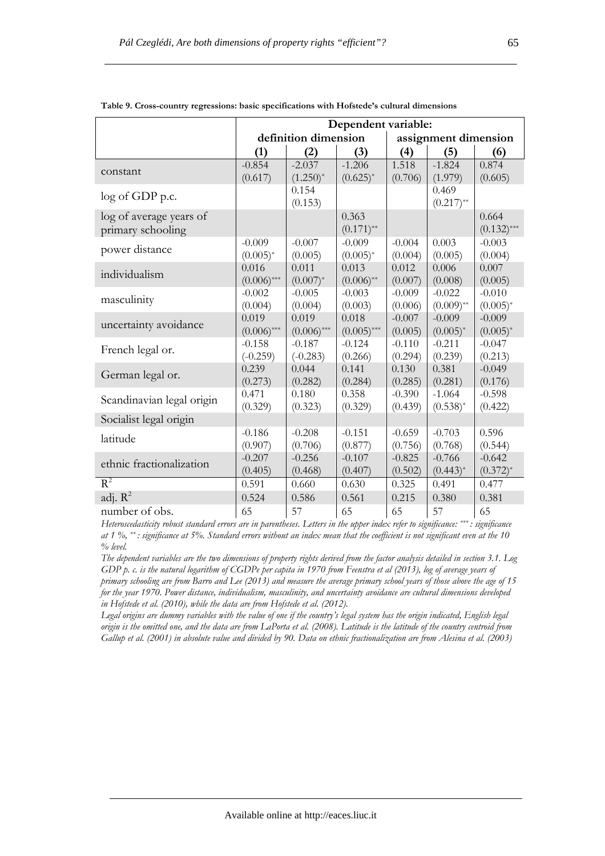|                           | Dependent variable: |                      |                  |                      |                      |                           |  |
|---------------------------|---------------------|----------------------|------------------|----------------------|----------------------|---------------------------|--|
|                           |                     | definition dimension |                  | assignment dimension |                      |                           |  |
|                           | (1)                 | (2)                  | (3)              | (4)                  | (5)                  | (6)                       |  |
| constant                  | $-0.854$            | $-2.037$             | $-1.206$         | 1.518                | $-1.824$             | 0.874                     |  |
|                           | (0.617)             | $(1.250)^{*}$        | $(0.625)^*$      | (0.706)              | (1.979)              | (0.605)                   |  |
| log of GDP p.c.           |                     | 0.154                |                  |                      | 0.469                |                           |  |
|                           |                     | (0.153)              |                  |                      | $(0.217)$ **         |                           |  |
| log of average years of   |                     |                      | 0.363            |                      |                      | 0.664                     |  |
| primary schooling         |                     |                      | $(0.171)$ **     |                      |                      | $(0.132)$ ***             |  |
| power distance            | $-0.009$            | $-0.007$             | $-0.009$         | $-0.004$             | 0.003                | $-0.003$                  |  |
|                           | $(0.005)^*$         | (0.005)              | $(0.005)^*$      | (0.004)              | (0.005)              | (0.004)                   |  |
| individualism             | 0.016               | 0.011                | 0.013            | 0.012                | 0.006                | 0.007                     |  |
|                           | $(0.006)$ ***       | $(0.007)^*$          | $(0.006)$ **     | (0.007)              | (0.008)              | (0.005)                   |  |
| masculinity               | $-0.002$            | $-0.005$             | $-0.003$         | $-0.009$             | $-0.022$             | $-0.010$                  |  |
|                           | (0.004)             | (0.004)              | (0.003)          | (0.006)              | $(0.009)$ **         | $(0.005)^*$               |  |
| uncertainty avoidance     | 0.019               | 0.019                | 0.018            | $-0.007$             | $-0.009$             | $-0.009$                  |  |
|                           | $(0.006)$ ***       | $(0.006)$ ***        | $(0.005)$ ***    | (0.005)              | $(0.005)^*$          | $(0.005)^*$               |  |
| French legal or.          | $-0.158$            | $-0.187$             | $-0.124$         | $-0.110$             | $-0.211$             | $-0.047$                  |  |
|                           | $(-0.259)$          | $(-0.283)$           | (0.266)          | (0.294)              | (0.239)              | (0.213)                   |  |
| German legal or.          | 0.239               | 0.044                | 0.141            | 0.130                | 0.381                | $-0.049$                  |  |
|                           | (0.273)             | (0.282)              | (0.284)          | (0.285)              | (0.281)              | (0.176)                   |  |
| Scandinavian legal origin | 0.471               | 0.180                | 0.358            | $-0.390$             | $-1.064$             | $-0.598$                  |  |
|                           | (0.329)             | (0.323)              | (0.329)          | (0.439)              | $(0.538)^{*}$        | (0.422)                   |  |
| Socialist legal origin    |                     |                      |                  |                      |                      |                           |  |
| latitude                  | $-0.186$            | $-0.208$             | $-0.151$         | $-0.659$             | $-0.703$             | 0.596                     |  |
|                           | (0.907)             | (0.706)              | (0.877)          | (0.756)              | (0.768)              | (0.544)                   |  |
| ethnic fractionalization  | $-0.207$            | $-0.256$<br>(0.468)  | $-0.107$         | $-0.825$<br>(0.502)  | $-0.766$             | $-0.642$<br>$(0.372)^{*}$ |  |
| $R^2$                     | (0.405)<br>0.591    | 0.660                | (0.407)<br>0.630 | 0.325                | $(0.443)^*$<br>0.491 | 0.477                     |  |
|                           |                     |                      |                  |                      |                      |                           |  |
| adj. $R^2$                | 0.524               | 0.586                | 0.561            | 0.215                | 0.380                | 0.381                     |  |
| number of obs.            | 65                  | 57                   | 65               | 65                   | 57                   | 65                        |  |

**Table 9. Cross-country regressions: basic specifications with Hofstede's cultural dimensions** 

*The dependent variables are the two dimensions of property rights derived from the factor analysis detailed in section 3.1. Log GDP p. c. is the natural logarithm of CGDPe per capita in 1970 from Feenstra et al (2013), log of average years of primary schooling are from Barro and Lee (2013) and measure the average primary school years of those above the age of 15 for the year 1970. Power distance, individualism, masculinity, and uncertainty avoidance are cultural dimensions developed in Hofstede et al. (2010), while the data are from Hofstede et al. (2012).* 

*Legal origins are dummy variables with the value of one if the country's legal system has the origin indicated, English legal origin is the omitted one, and the data are from LaPorta et al. (2008). Latitude is the latitude of the country centroid from Gallup et al. (2001) in absolute value and divided by 90. Data on ethnic fractionalization are from Alesina et al. (2003)*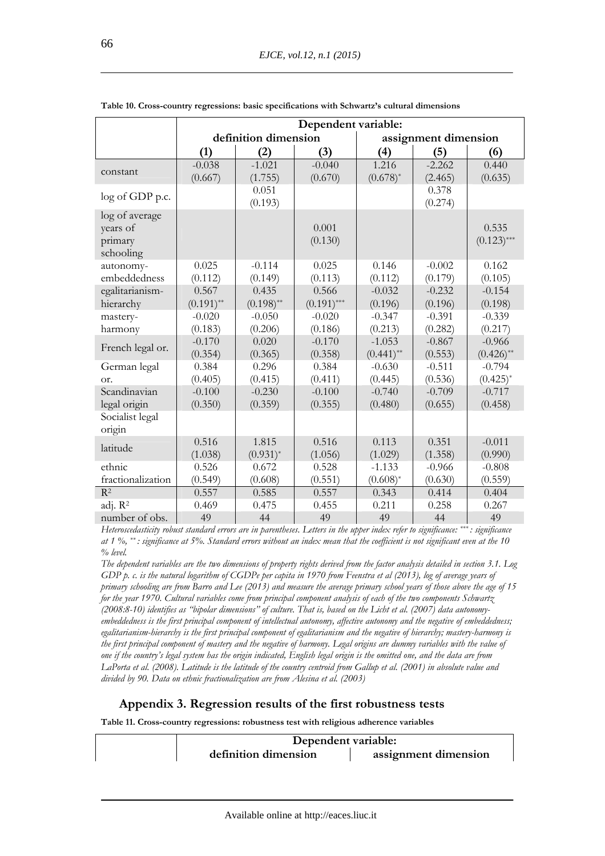|                     | Dependent variable: |                      |               |              |                      |               |  |
|---------------------|---------------------|----------------------|---------------|--------------|----------------------|---------------|--|
|                     |                     | definition dimension |               |              | assignment dimension |               |  |
|                     | (1)                 | (2)                  | (3)           | (4)          | (5)                  | (6)           |  |
|                     | $-0.038$            | $-1.021$             | $-0.040$      | 1.216        | $-2.262$             | 0.440         |  |
| constant            | (0.667)             | (1.755)              | (0.670)       | $(0.678)^*$  | (2.465)              | (0.635)       |  |
| log of GDP p.c.     |                     | 0.051                |               |              | 0.378                |               |  |
|                     |                     | (0.193)              |               |              | (0.274)              |               |  |
| log of average      |                     |                      |               |              |                      |               |  |
| years of            |                     |                      | 0.001         |              |                      | 0.535         |  |
| primary             |                     |                      | (0.130)       |              |                      | $(0.123)$ *** |  |
| schooling           |                     |                      |               |              |                      |               |  |
| autonomy-           | 0.025               | $-0.114$             | 0.025         | 0.146        | $-0.002$             | 0.162         |  |
| embeddedness        | (0.112)             | (0.149)              | (0.113)       | (0.112)      | (0.179)              | (0.105)       |  |
| egalitarianism-     | 0.567               | 0.435                | 0.566         | $-0.032$     | $-0.232$             | $-0.154$      |  |
| hierarchy           | $(0.191)$ **        | $(0.198)$ **         | $(0.191)$ *** | (0.196)      | (0.196)              | (0.198)       |  |
| mastery-            | $-0.020$            | $-0.050$             | $-0.020$      | $-0.347$     | $-0.391$             | $-0.339$      |  |
| harmony             | (0.183)             | (0.206)              | (0.186)       | (0.213)      | (0.282)              | (0.217)       |  |
| French legal or.    | $-0.170$            | 0.020                | $-0.170$      | $-1.053$     | $-0.867$             | $-0.966$      |  |
|                     | (0.354)             | (0.365)              | (0.358)       | $(0.441)$ ** | (0.553)              | $(0.426)$ **  |  |
| German legal        | 0.384               | 0.296                | 0.384         | $-0.630$     | $-0.511$             | $-0.794$      |  |
| or.                 | (0.405)             | (0.415)              | (0.411)       | (0.445)      | (0.536)              | $(0.425)^{*}$ |  |
| Scandinavian        | $-0.100$            | $-0.230$             | $-0.100$      | $-0.740$     | $-0.709$             | $-0.717$      |  |
| legal origin        | (0.350)             | (0.359)              | (0.355)       | (0.480)      | (0.655)              | (0.458)       |  |
| Socialist legal     |                     |                      |               |              |                      |               |  |
| origin              |                     |                      |               |              |                      |               |  |
| latitude            | 0.516               | 1.815                | 0.516         | 0.113        | 0.351                | $-0.011$      |  |
|                     | (1.038)             | $(0.931)^*$          | (1.056)       | (1.029)      | (1.358)              | (0.990)       |  |
| ethnic              | 0.526               | 0.672                | 0.528         | $-1.133$     | $-0.966$             | $-0.808$      |  |
| fractionalization   | (0.549)             | (0.608)              | (0.551)       | $(0.608)^*$  | (0.630)              | (0.559)       |  |
| R <sup>2</sup>      | 0.557               | 0.585                | 0.557         | 0.343        | 0.414                | 0.404         |  |
| adj. R <sup>2</sup> | 0.469               | 0.475                | 0.455         | 0.211        | 0.258                | 0.267         |  |
| number of obs.      | 49                  | 44                   | 49            | 49           | 44                   | 49            |  |

*The dependent variables are the two dimensions of property rights derived from the factor analysis detailed in section 3.1. Log GDP p. c. is the natural logarithm of CGDPe per capita in 1970 from Feenstra et al (2013), log of average years of primary schooling are from Barro and Lee (2013) and measure the average primary school years of those above the age of 15 for the year 1970. Cultural variables come from principal component analysis of each of the two components Schwartz (2008:8-10) identifies as "bipolar dimensions" of culture. That is, based on the Licht et al. (2007) data autonomyembeddedness is the first principal component of intellectual autonomy, affective autonomy and the negative of embeddedness; egalitarianism-hierarchy is the first principal component of egalitarianism and the negative of hierarchy; mastery-harmony is the first principal component of mastery and the negative of harmony. Legal origins are dummy variables with the value of one if the country's legal system has the origin indicated, English legal origin is the omitted one, and the data are from LaPorta et al. (2008). Latitude is the latitude of the country centroid from Gallup et al. (2001) in absolute value and divided by 90. Data on ethnic fractionalization are from Alesina et al. (2003)* 

# **Appendix 3. Regression results of the first robustness tests**

**Table 11. Cross-country regressions: robustness test with religious adherence variables** 

| Dependent variable:  |                      |  |  |  |  |
|----------------------|----------------------|--|--|--|--|
| definition dimension | assignment dimension |  |  |  |  |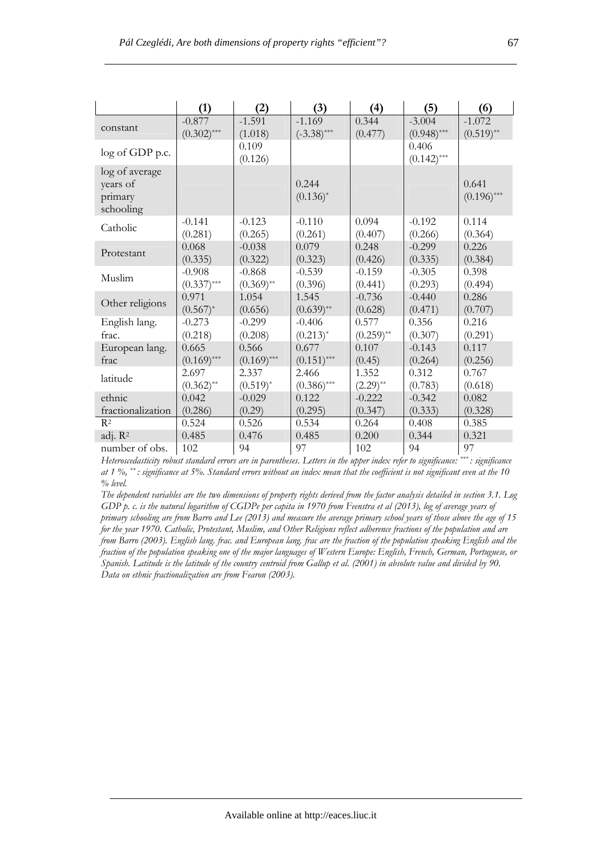|                                                    | (1)           | (2)              | (3)                  | (4)          | (5)                    | (6)                    |
|----------------------------------------------------|---------------|------------------|----------------------|--------------|------------------------|------------------------|
| constant                                           | $-0.877$      | $-1.591$         | $-1.169$             | 0.344        | $-3.004$               | $-1.072$               |
|                                                    | $(0.302)$ *** | (1.018)          | $(-3.38)$ ***        | (0.477)      | $(0.948)$ ***          | $(0.519)$ **           |
| log of GDP p.c.                                    |               | 0.109<br>(0.126) |                      |              | 0.406<br>$(0.142)$ *** |                        |
| log of average<br>years of<br>primary<br>schooling |               |                  | 0.244<br>$(0.136)^*$ |              |                        | 0.641<br>$(0.196)$ *** |
| Catholic                                           | $-0.141$      | $-0.123$         | $-0.110$             | 0.094        | $-0.192$               | 0.114                  |
|                                                    | (0.281)       | (0.265)          | (0.261)              | (0.407)      | (0.266)                | (0.364)                |
| Protestant                                         | 0.068         | $-0.038$         | 0.079                | 0.248        | $-0.299$               | 0.226                  |
|                                                    | (0.335)       | (0.322)          | (0.323)              | (0.426)      | (0.335)                | (0.384)                |
| Muslim                                             | $-0.908$      | $-0.868$         | $-0.539$             | $-0.159$     | $-0.305$               | 0.398                  |
|                                                    | $(0.337)$ *** | $(0.369)$ **     | (0.396)              | (0.441)      | (0.293)                | (0.494)                |
| Other religions                                    | 0.971         | 1.054            | 1.545                | $-0.736$     | $-0.440$               | 0.286                  |
|                                                    | $(0.567)^*$   | (0.656)          | $(0.639)$ **         | (0.628)      | (0.471)                | (0.707)                |
| English lang.                                      | $-0.273$      | $-0.299$         | $-0.406$             | 0.577        | 0.356                  | 0.216                  |
| frac.                                              | (0.218)       | (0.208)          | $(0.213)^*$          | $(0.259)$ ** | (0.307)                | (0.291)                |
| European lang.                                     | 0.665         | 0.566            | 0.677                | 0.107        | $-0.143$               | 0.117                  |
| frac                                               | $(0.169)$ *** | $(0.169)$ ***    | $(0.151)$ ***        | (0.45)       | (0.264)                | (0.256)                |
| latitude                                           | 2.697         | 2.337            | 2.466                | 1.352        | 0.312                  | 0.767                  |
|                                                    | $(0.362)$ **  | $(0.519)^*$      | $(0.386)$ ***        | $(2.29)$ **  | (0.783)                | (0.618)                |
| ethnic                                             | 0.042         | $-0.029$         | 0.122                | $-0.222$     | $-0.342$               | 0.082                  |
| fractionalization                                  | (0.286)       | (0.29)           | (0.295)              | (0.347)      | (0.333)                | (0.328)                |
| R <sup>2</sup>                                     | 0.524         | 0.526            | 0.534                | 0.264        | 0.408                  | 0.385                  |
| adj. R <sup>2</sup>                                | 0.485         | 0.476            | 0.485                | 0.200        | 0.344                  | 0.321                  |
| number of obs.                                     | 102           | 94               | 97                   | 102          | 94                     | 97                     |

*The dependent variables are the two dimensions of property rights derived from the factor analysis detailed in section 3.1. Log GDP p. c. is the natural logarithm of CGDPe per capita in 1970 from Feenstra et al (2013), log of average years of primary schooling are from Barro and Lee (2013) and measure the average primary school years of those above the age of 15 for the year 1970. Catholic, Protestant, Muslim, and Other Religions reflect adherence fractions of the population and are from Barro (2003). English lang. frac. and European lang. frac are the fraction of the population speaking English and the fraction of the population speaking one of the major languages of Western Europe: English, French, German, Portuguese, or Spanish. Latitude is the latitude of the country centroid from Gallup et al. (2001) in absolute value and divided by 90. Data on ethnic fractionalization are from Fearon (2003).*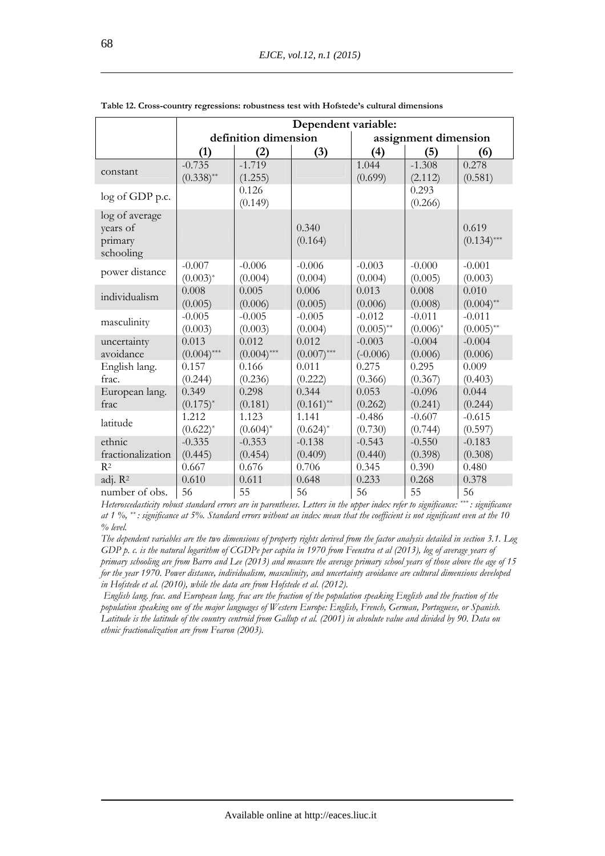|                     | Dependent variable:  |               |               |                      |             |               |
|---------------------|----------------------|---------------|---------------|----------------------|-------------|---------------|
|                     | definition dimension |               |               | assignment dimension |             |               |
|                     | (1)                  | (2)           | (3)           | (4)                  | (5)         | (6)           |
|                     | $-0.735$             | $-1.719$      |               | 1.044                | $-1.308$    | 0.278         |
| constant            | $(0.338)$ **         | (1.255)       |               | (0.699)              | (2.112)     | (0.581)       |
| log of GDP p.c.     |                      | 0.126         |               |                      | 0.293       |               |
|                     |                      | (0.149)       |               |                      | (0.266)     |               |
| log of average      |                      |               |               |                      |             |               |
| years of            |                      |               | 0.340         |                      |             | 0.619         |
| primary             |                      |               | (0.164)       |                      |             | $(0.134)$ *** |
| schooling           |                      |               |               |                      |             |               |
| power distance      | $-0.007$             | $-0.006$      | $-0.006$      | $-0.003$             | $-0.000$    | $-0.001$      |
|                     | $(0.003)^*$          | (0.004)       | (0.004)       | (0.004)              | (0.005)     | (0.003)       |
| individualism       | 0.008                | 0.005         | 0.006         | 0.013                | 0.008       | 0.010         |
|                     | (0.005)              | (0.006)       | (0.005)       | (0.006)              | (0.008)     | $(0.004)$ **  |
| masculinity         | $-0.005$             | $-0.005$      | $-0.005$      | $-0.012$             | $-0.011$    | $-0.011$      |
|                     | (0.003)              | (0.003)       | (0.004)       | $(0.005)$ **         | $(0.006)^*$ | $(0.005)$ **  |
| uncertainty         | 0.013                | 0.012         | 0.012         | $-0.003$             | $-0.004$    | $-0.004$      |
| avoidance           | $(0.004)$ ***        | $(0.004)$ *** | $(0.007)$ *** | $(-0.006)$           | (0.006)     | (0.006)       |
| English lang.       | 0.157                | 0.166         | 0.011         | 0.275                | 0.295       | 0.009         |
| frac.               | (0.244)              | (0.236)       | (0.222)       | (0.366)              | (0.367)     | (0.403)       |
| European lang.      | 0.349                | 0.298         | 0.344         | 0.053                | $-0.096$    | 0.044         |
| frac                | $(0.175)^*$          | (0.181)       | $(0.161)$ **  | (0.262)              | (0.241)     | (0.244)       |
| latitude            | 1.212                | 1.123         | 1.141         | $-0.486$             | $-0.607$    | $-0.615$      |
|                     | $(0.622)^*$          | $(0.604)^*$   | $(0.624)^*$   | (0.730)              | (0.744)     | (0.597)       |
| ethnic              | $-0.335$             | $-0.353$      | $-0.138$      | $-0.543$             | $-0.550$    | $-0.183$      |
| fractionalization   | (0.445)              | (0.454)       | (0.409)       | (0.440)              | (0.398)     | (0.308)       |
| $R^2$               | 0.667                | 0.676         | 0.706         | 0.345                | 0.390       | 0.480         |
| adj. R <sup>2</sup> | 0.610                | 0.611         | 0.648         | 0.233                | 0.268       | 0.378         |
| number of obs.      | 56                   | 55            | 56            | 56                   | 55          | 56            |

**Table 12. Cross-country regressions: robustness test with Hofstede's cultural dimensions**

*The dependent variables are the two dimensions of property rights derived from the factor analysis detailed in section 3.1. Log GDP p. c. is the natural logarithm of CGDPe per capita in 1970 from Feenstra et al (2013), log of average years of primary schooling are from Barro and Lee (2013) and measure the average primary school years of those above the age of 15 for the year 1970. Power distance, individualism, masculinity, and uncertainty avoidance are cultural dimensions developed in Hofstede et al. (2010), while the data are from Hofstede et al. (2012).* 

 *English lang. frac. and European lang. frac are the fraction of the population speaking English and the fraction of the population speaking one of the major languages of Western Europe: English, French, German, Portuguese, or Spanish. Latitude is the latitude of the country centroid from Gallup et al. (2001) in absolute value and divided by 90. Data on ethnic fractionalization are from Fearon (2003).*